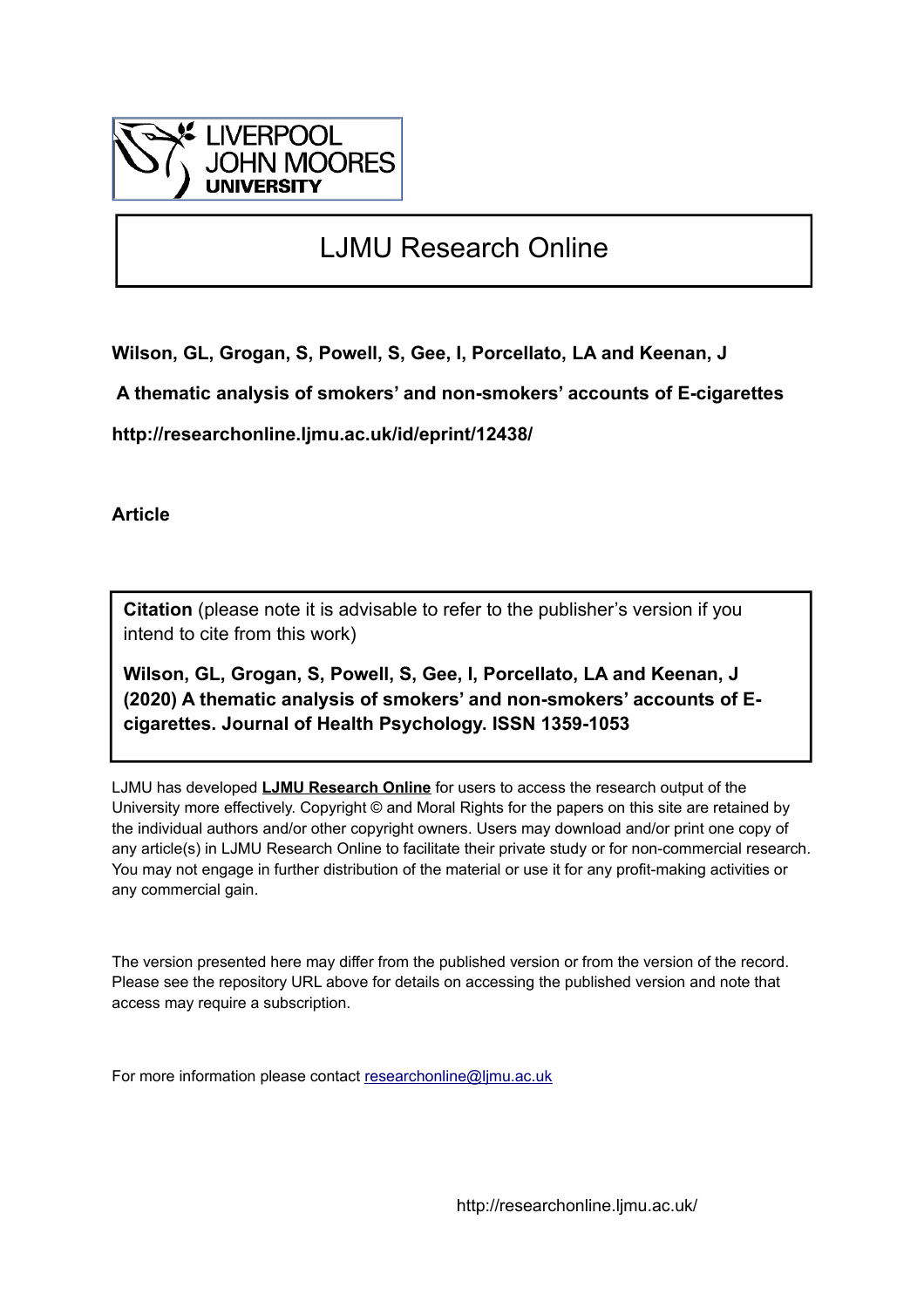

# LJMU Research Online

**Wilson, GL, Grogan, S, Powell, S, Gee, I, Porcellato, LA and Keenan, J**

 **A thematic analysis of smokers' and non-smokers' accounts of E-cigarettes**

**http://researchonline.ljmu.ac.uk/id/eprint/12438/**

**Article**

**Citation** (please note it is advisable to refer to the publisher's version if you intend to cite from this work)

**Wilson, GL, Grogan, S, Powell, S, Gee, I, Porcellato, LA and Keenan, J (2020) A thematic analysis of smokers' and non-smokers' accounts of Ecigarettes. Journal of Health Psychology. ISSN 1359-1053** 

LJMU has developed **[LJMU Research Online](http://researchonline.ljmu.ac.uk/)** for users to access the research output of the University more effectively. Copyright © and Moral Rights for the papers on this site are retained by the individual authors and/or other copyright owners. Users may download and/or print one copy of any article(s) in LJMU Research Online to facilitate their private study or for non-commercial research. You may not engage in further distribution of the material or use it for any profit-making activities or any commercial gain.

The version presented here may differ from the published version or from the version of the record. Please see the repository URL above for details on accessing the published version and note that access may require a subscription.

For more information please contact [researchonline@ljmu.ac.uk](mailto:researchonline@ljmu.ac.uk)

http://researchonline.ljmu.ac.uk/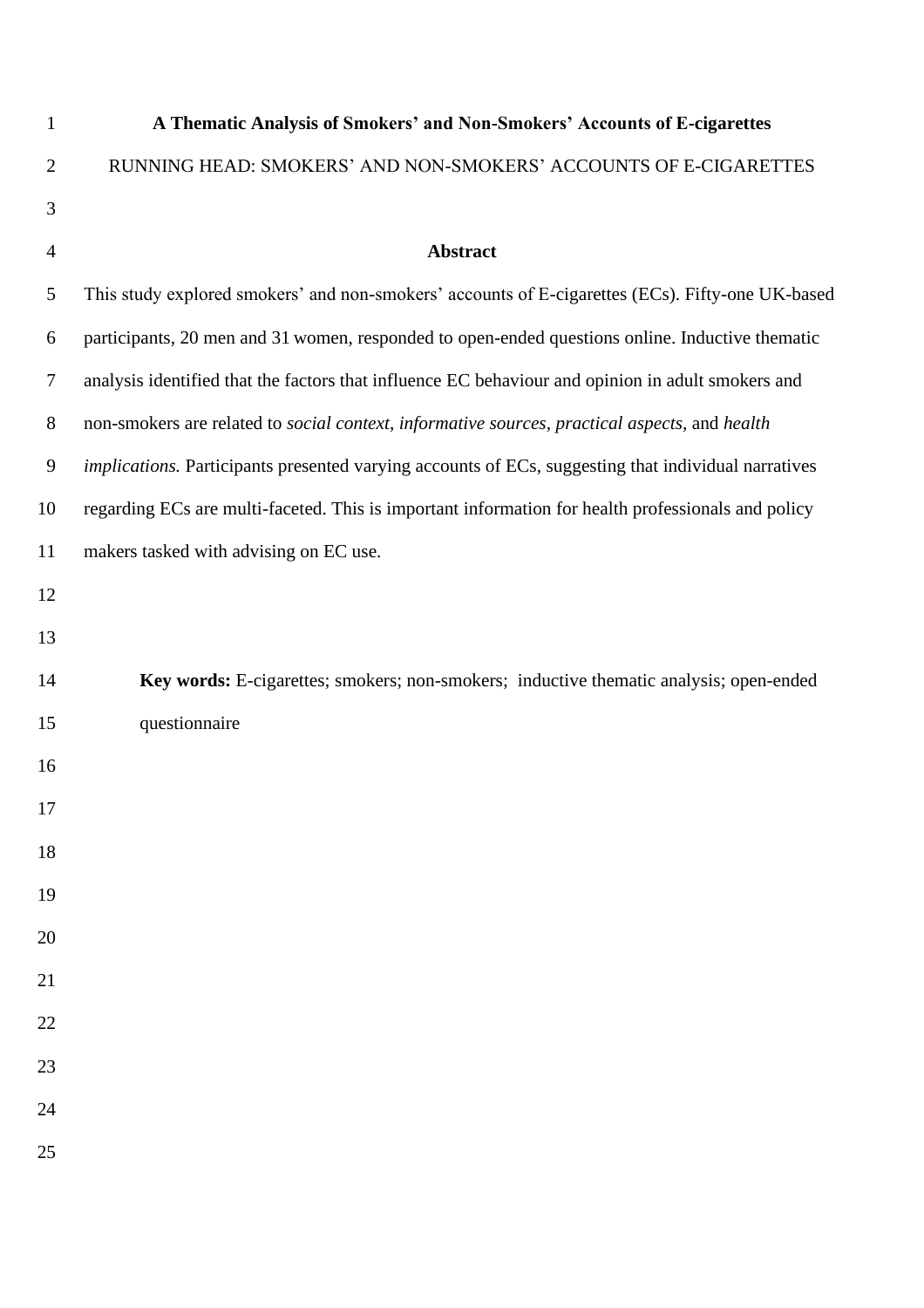| $\mathbf{1}$   | A Thematic Analysis of Smokers' and Non-Smokers' Accounts of E-cigarettes                           |
|----------------|-----------------------------------------------------------------------------------------------------|
| $\overline{2}$ | RUNNING HEAD: SMOKERS' AND NON-SMOKERS' ACCOUNTS OF E-CIGARETTES                                    |
| 3              |                                                                                                     |
| $\overline{4}$ | Abstract                                                                                            |
| 5              | This study explored smokers' and non-smokers' accounts of E-cigarettes (ECs). Fifty-one UK-based    |
| 6              | participants, 20 men and 31 women, responded to open-ended questions online. Inductive thematic     |
| $\tau$         | analysis identified that the factors that influence EC behaviour and opinion in adult smokers and   |
| $8\phantom{1}$ | non-smokers are related to social context, informative sources, practical aspects, and health       |
| 9              | implications. Participants presented varying accounts of ECs, suggesting that individual narratives |
| 10             | regarding ECs are multi-faceted. This is important information for health professionals and policy  |
| 11             | makers tasked with advising on EC use.                                                              |
| 12             |                                                                                                     |
| 13             |                                                                                                     |
| 14             | Key words: E-cigarettes; smokers; non-smokers; inductive thematic analysis; open-ended              |
| 15             | questionnaire                                                                                       |
| 16             |                                                                                                     |
| 17             |                                                                                                     |
| 18             |                                                                                                     |
| 19             |                                                                                                     |
| 20             |                                                                                                     |
| 21             |                                                                                                     |
| 22             |                                                                                                     |
| 23             |                                                                                                     |
| 24             |                                                                                                     |
| 25             |                                                                                                     |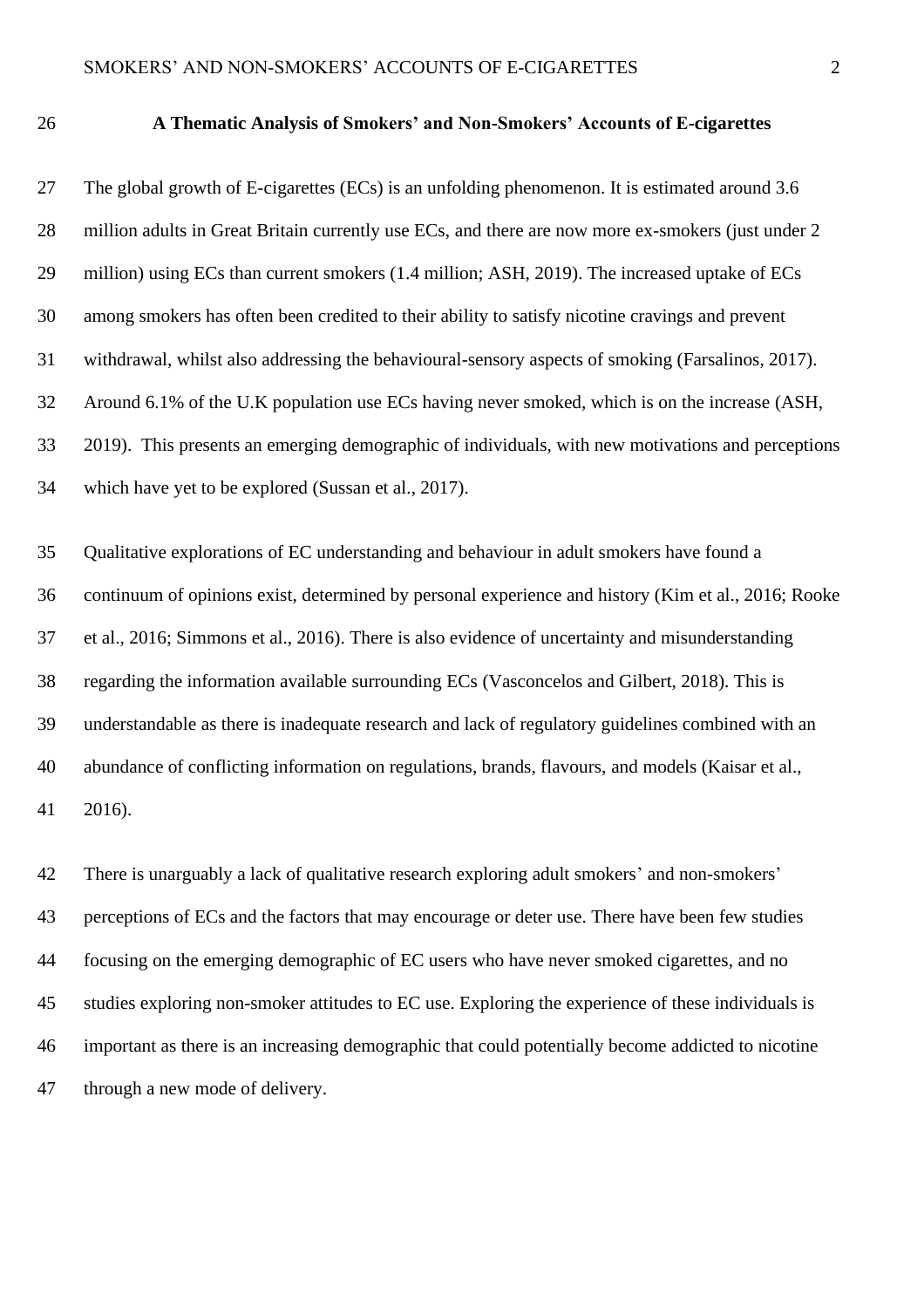## **A Thematic Analysis of Smokers' and Non-Smokers' Accounts of E-cigarettes**

 The global growth of E-cigarettes (ECs) is an unfolding phenomenon. It is estimated around 3.6 28 million adults in Great Britain currently use ECs, and there are now more ex-smokers (just under 2 million) using ECs than current smokers (1.4 million; ASH, 2019). The increased uptake of ECs among smokers has often been credited to their ability to satisfy nicotine cravings and prevent withdrawal, whilst also addressing the behavioural-sensory aspects of smoking (Farsalinos, 2017). Around 6.1% of the U.K population use ECs having never smoked, which is on the increase (ASH, 2019). This presents an emerging demographic of individuals, with new motivations and perceptions which have yet to be explored (Sussan et al., 2017). Qualitative explorations of EC understanding and behaviour in adult smokers have found a continuum of opinions exist, determined by personal experience and history (Kim et al., 2016; Rooke et al., 2016; Simmons et al., 2016). There is also evidence of uncertainty and misunderstanding regarding the information available surrounding ECs (Vasconcelos and Gilbert, 2018). This is understandable as there is inadequate research and lack of regulatory guidelines combined with an abundance of conflicting information on regulations, brands, flavours, and models (Kaisar et al.,

2016).

 There is unarguably a lack of qualitative research exploring adult smokers' and non-smokers' perceptions of ECs and the factors that may encourage or deter use. There have been few studies focusing on the emerging demographic of EC users who have never smoked cigarettes, and no studies exploring non-smoker attitudes to EC use. Exploring the experience of these individuals is important as there is an increasing demographic that could potentially become addicted to nicotine through a new mode of delivery.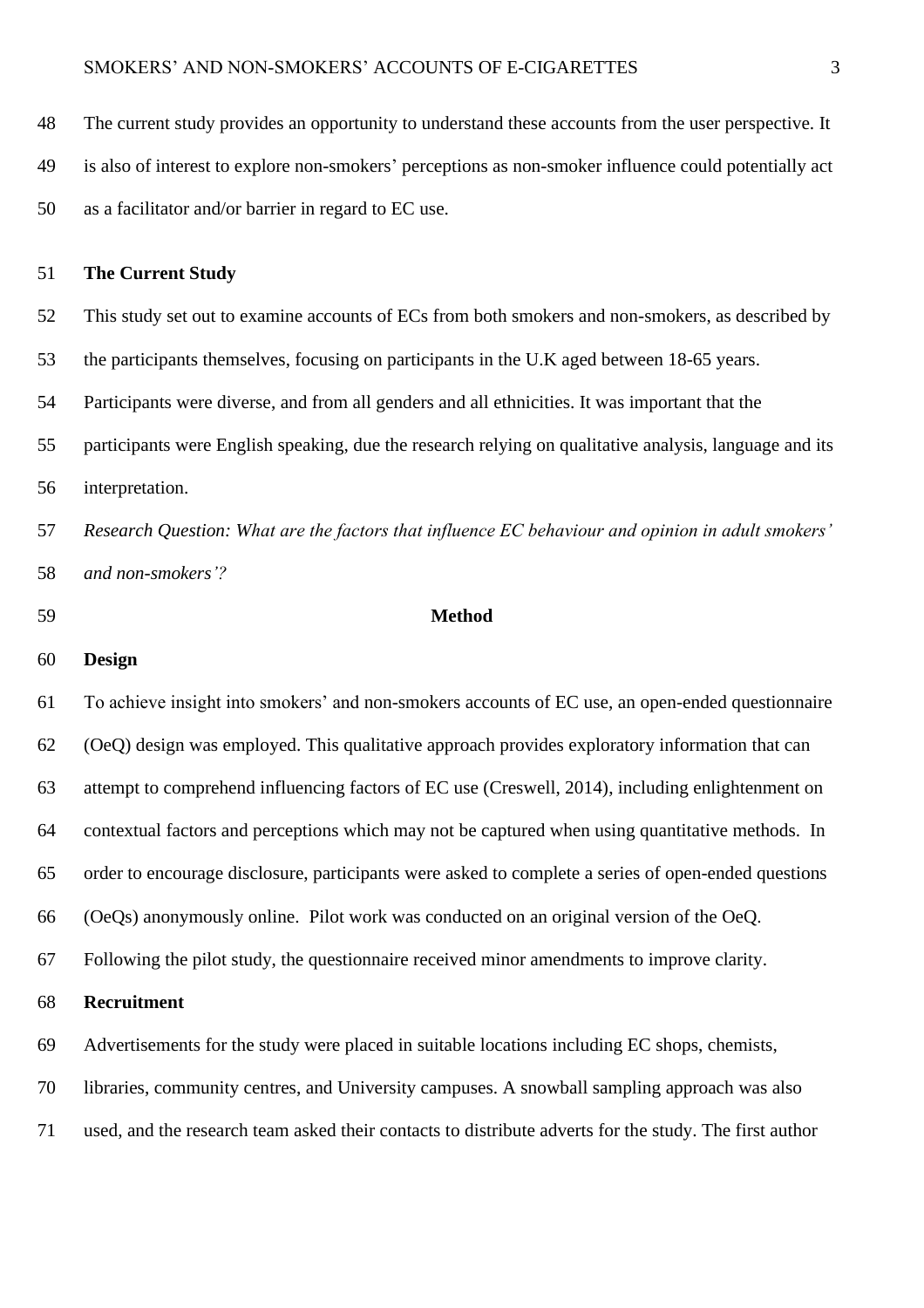The current study provides an opportunity to understand these accounts from the user perspective. It

is also of interest to explore non-smokers' perceptions as non-smoker influence could potentially act

as a facilitator and/or barrier in regard to EC use.

### **The Current Study**

This study set out to examine accounts of ECs from both smokers and non-smokers, as described by

the participants themselves, focusing on participants in the U.K aged between 18-65 years.

Participants were diverse, and from all genders and all ethnicities. It was important that the

 participants were English speaking, due the research relying on qualitative analysis, language and its interpretation.

 *Research Question: What are the factors that influence EC behaviour and opinion in adult smokers' and non-smokers'?* 

### **Method**

**Design**

 To achieve insight into smokers' and non-smokers accounts of EC use, an open-ended questionnaire (OeQ) design was employed. This qualitative approach provides exploratory information that can attempt to comprehend influencing factors of EC use (Creswell, 2014), including enlightenment on contextual factors and perceptions which may not be captured when using quantitative methods. In order to encourage disclosure, participants were asked to complete a series of open-ended questions (OeQs) anonymously online. Pilot work was conducted on an original version of the OeQ. Following the pilot study, the questionnaire received minor amendments to improve clarity. **Recruitment**  Advertisements for the study were placed in suitable locations including EC shops, chemists,

libraries, community centres, and University campuses. A snowball sampling approach was also

used, and the research team asked their contacts to distribute adverts for the study. The first author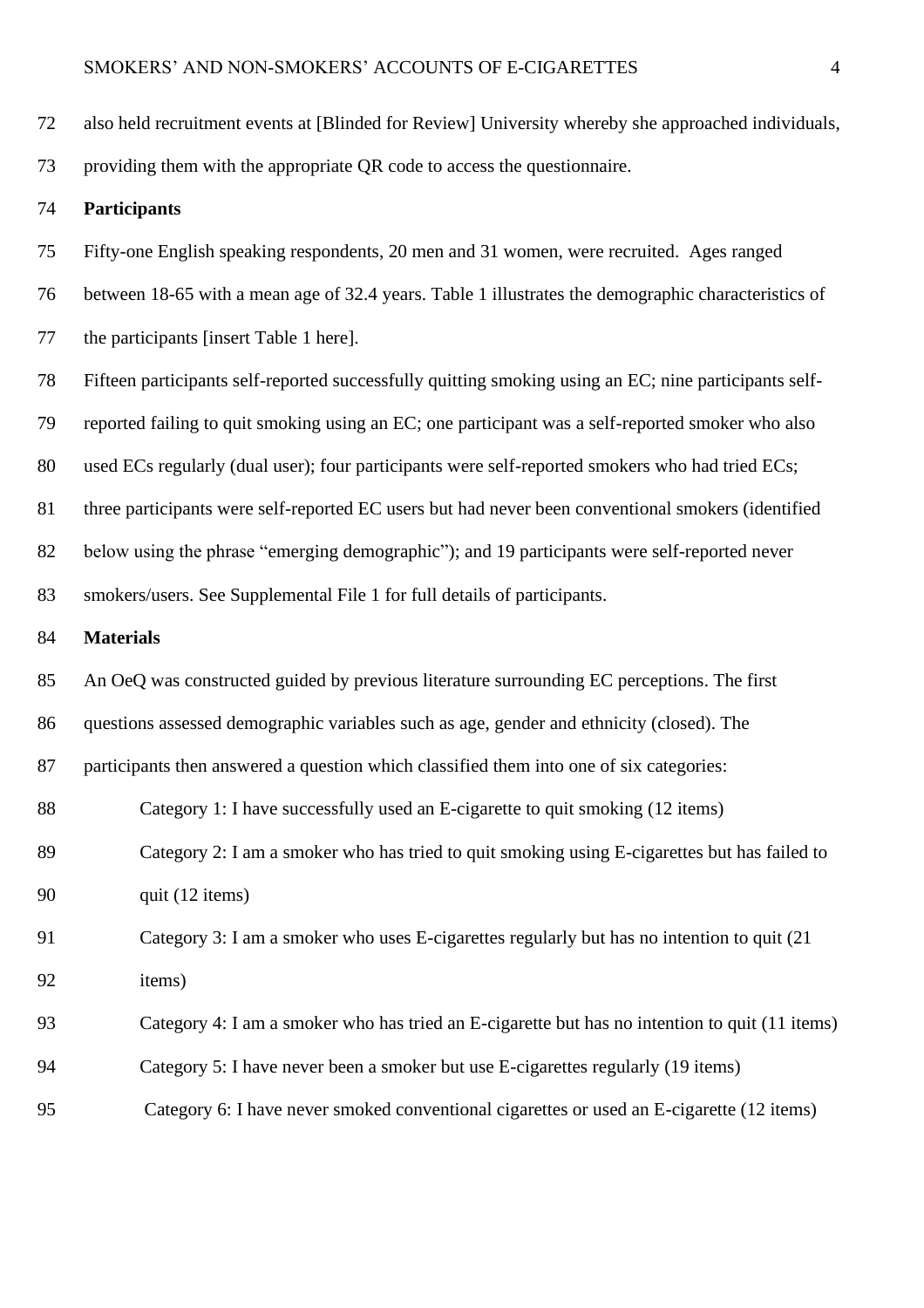| 72 | also held recruitment events at [Blinded for Review] University whereby she approached individuals,   |
|----|-------------------------------------------------------------------------------------------------------|
| 73 | providing them with the appropriate QR code to access the questionnaire.                              |
| 74 | <b>Participants</b>                                                                                   |
| 75 | Fifty-one English speaking respondents, 20 men and 31 women, were recruited. Ages ranged              |
| 76 | between 18-65 with a mean age of 32.4 years. Table 1 illustrates the demographic characteristics of   |
| 77 | the participants [insert Table 1 here].                                                               |
| 78 | Fifteen participants self-reported successfully quitting smoking using an EC; nine participants self- |
| 79 | reported failing to quit smoking using an EC; one participant was a self-reported smoker who also     |
| 80 | used ECs regularly (dual user); four participants were self-reported smokers who had tried ECs;       |
| 81 | three participants were self-reported EC users but had never been conventional smokers (identified    |
| 82 | below using the phrase "emerging demographic"); and 19 participants were self-reported never          |
| 83 | smokers/users. See Supplemental File 1 for full details of participants.                              |
| 84 | <b>Materials</b>                                                                                      |
| 85 | An OeQ was constructed guided by previous literature surrounding EC perceptions. The first            |
| 86 | questions assessed demographic variables such as age, gender and ethnicity (closed). The              |
| 87 | participants then answered a question which classified them into one of six categories:               |
| 88 | Category 1: I have successfully used an E-cigarette to quit smoking (12 items)                        |
| 89 | Category 2: I am a smoker who has tried to quit smoking using E-cigarettes but has failed to          |
| 90 | quit (12 items)                                                                                       |
| 91 | Category 3: I am a smoker who uses E-cigarettes regularly but has no intention to quit (21)           |
| 92 | items)                                                                                                |
| 93 | Category 4: I am a smoker who has tried an E-cigarette but has no intention to quit (11 items)        |
|    |                                                                                                       |
| 94 | Category 5: I have never been a smoker but use E-cigarettes regularly (19 items)                      |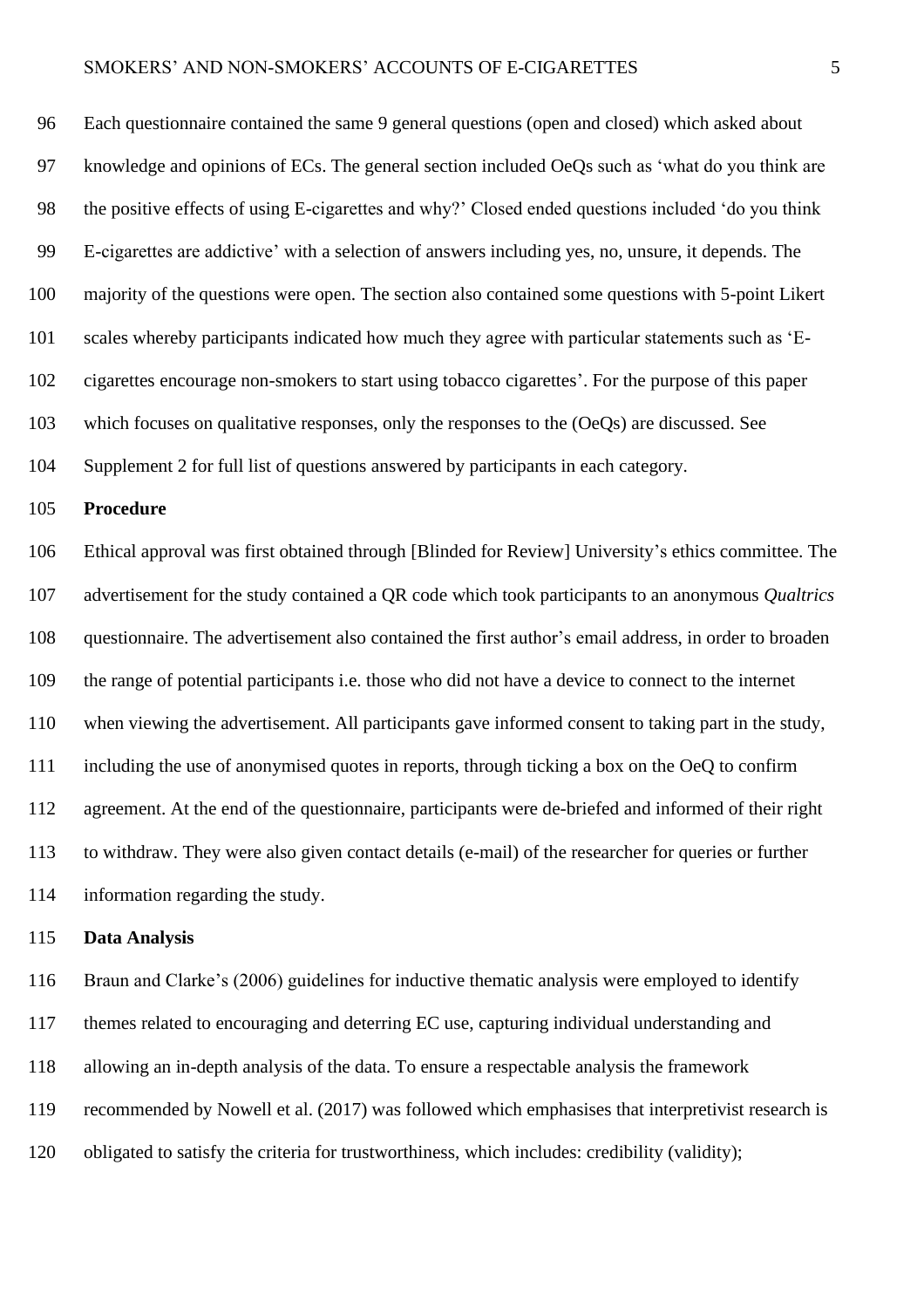### SMOKERS' AND NON-SMOKERS' ACCOUNTS OF E-CIGARETTES 5

 Each questionnaire contained the same 9 general questions (open and closed) which asked about knowledge and opinions of ECs. The general section included OeQs such as 'what do you think are 98 the positive effects of using E-cigarettes and why?' Closed ended questions included 'do you think E-cigarettes are addictive' with a selection of answers including yes, no, unsure, it depends. The majority of the questions were open. The section also contained some questions with 5-point Likert scales whereby participants indicated how much they agree with particular statements such as 'E- cigarettes encourage non-smokers to start using tobacco cigarettes'. For the purpose of this paper which focuses on qualitative responses, only the responses to the (OeQs) are discussed. See Supplement 2 for full list of questions answered by participants in each category.

### **Procedure**

 Ethical approval was first obtained through [Blinded for Review] University's ethics committee. The advertisement for the study contained a QR code which took participants to an anonymous *Qualtrics*  questionnaire. The advertisement also contained the first author's email address, in order to broaden the range of potential participants i.e. those who did not have a device to connect to the internet when viewing the advertisement. All participants gave informed consent to taking part in the study, including the use of anonymised quotes in reports, through ticking a box on the OeQ to confirm agreement. At the end of the questionnaire, participants were de-briefed and informed of their right to withdraw. They were also given contact details (e-mail) of the researcher for queries or further information regarding the study.

#### **Data Analysis**

 Braun and Clarke's (2006) guidelines for inductive thematic analysis were employed to identify themes related to encouraging and deterring EC use, capturing individual understanding and allowing an in-depth analysis of the data. To ensure a respectable analysis the framework recommended by Nowell et al. (2017) was followed which emphasises that interpretivist research is obligated to satisfy the criteria for trustworthiness, which includes: credibility (validity);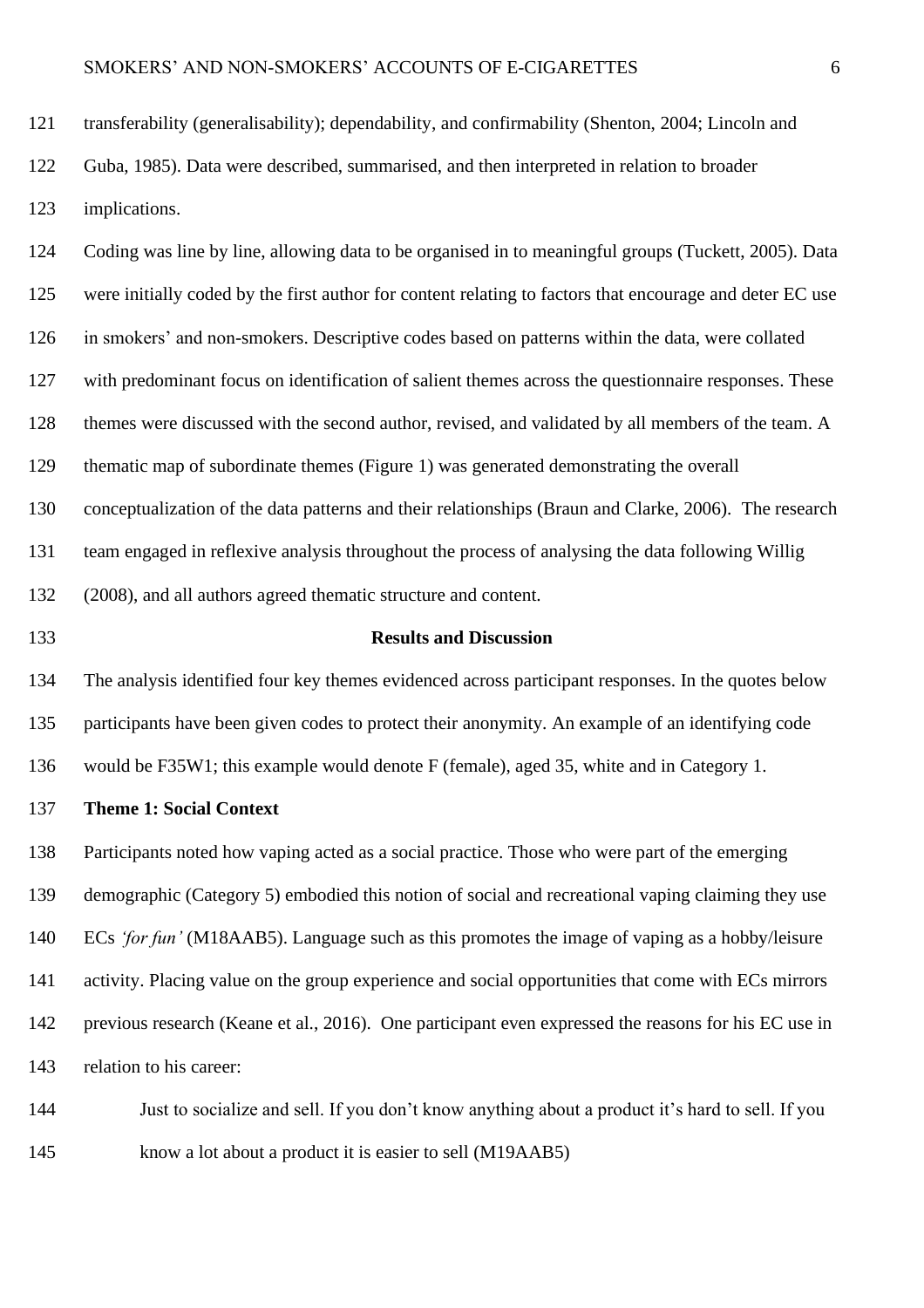transferability (generalisability); dependability, and confirmability (Shenton, 2004; Lincoln and

 Guba, 1985). Data were described, summarised, and then interpreted in relation to broader implications.

 Coding was line by line, allowing data to be organised in to meaningful groups (Tuckett, 2005). Data were initially coded by the first author for content relating to factors that encourage and deter EC use in smokers' and non-smokers. Descriptive codes based on patterns within the data, were collated with predominant focus on identification of salient themes across the questionnaire responses. These themes were discussed with the second author, revised, and validated by all members of the team. A thematic map of subordinate themes (Figure 1) was generated demonstrating the overall conceptualization of the data patterns and their relationships (Braun and Clarke, 2006). The research team engaged in reflexive analysis throughout the process of analysing the data following Willig (2008), and all authors agreed thematic structure and content.

## **Results and Discussion**

 The analysis identified four key themes evidenced across participant responses. In the quotes below participants have been given codes to protect their anonymity. An example of an identifying code would be F35W1; this example would denote F (female), aged 35, white and in Category 1.

**Theme 1: Social Context**

 Participants noted how vaping acted as a social practice. Those who were part of the emerging demographic (Category 5) embodied this notion of social and recreational vaping claiming they use ECs *'for fun'* (M18AAB5). Language such as this promotes the image of vaping as a hobby/leisure activity. Placing value on the group experience and social opportunities that come with ECs mirrors previous research (Keane et al., 2016). One participant even expressed the reasons for his EC use in relation to his career:

 Just to socialize and sell. If you don't know anything about a product it's hard to sell. If you know a lot about a product it is easier to sell (M19AAB5)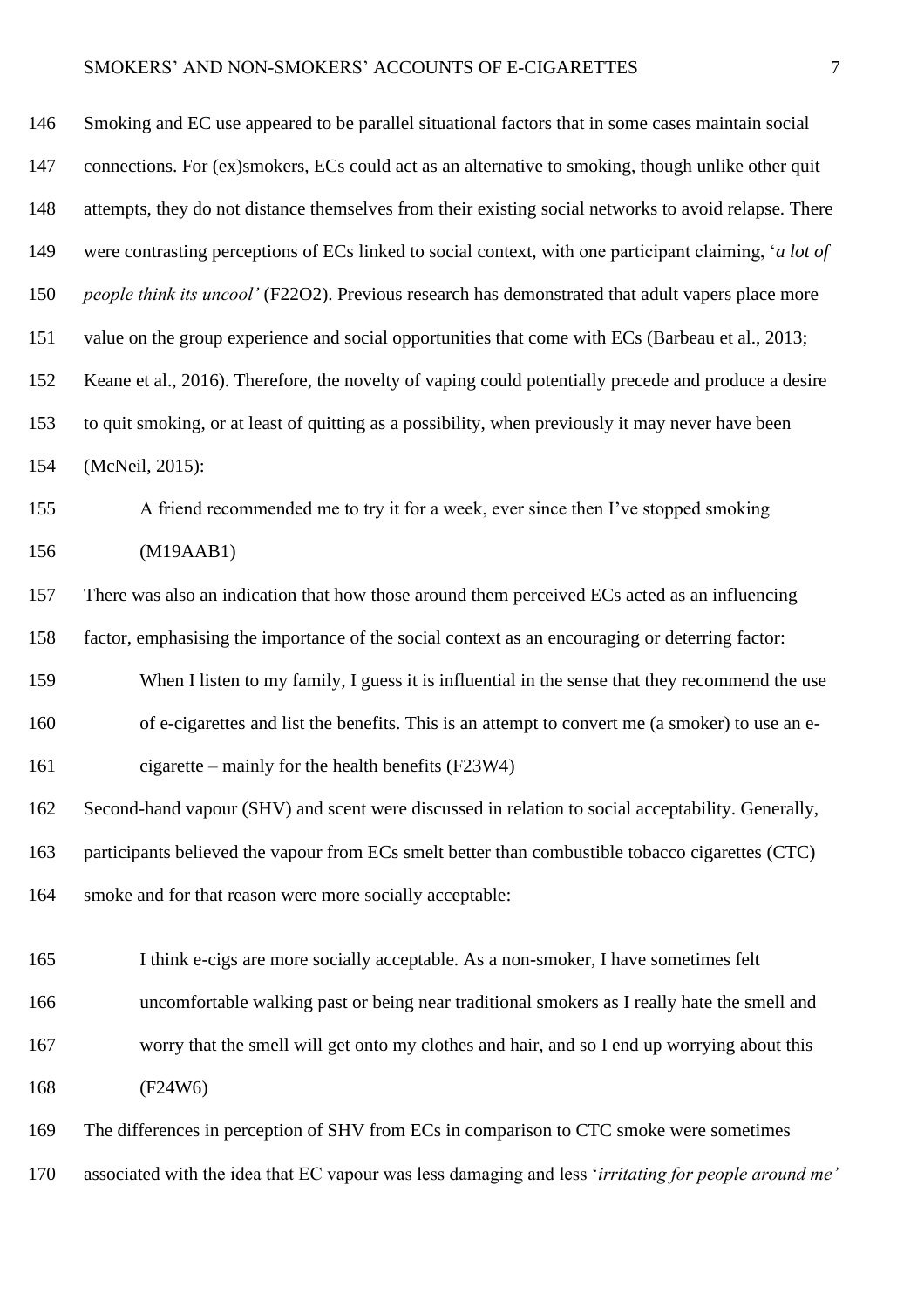# SMOKERS' AND NON-SMOKERS' ACCOUNTS OF E-CIGARETTES

| 146 | Smoking and EC use appeared to be parallel situational factors that in some cases maintain social      |
|-----|--------------------------------------------------------------------------------------------------------|
| 147 | connections. For (ex)smokers, ECs could act as an alternative to smoking, though unlike other quit     |
| 148 | attempts, they do not distance themselves from their existing social networks to avoid relapse. There  |
| 149 | were contrasting perceptions of ECs linked to social context, with one participant claiming, 'a lot of |
| 150 | people think its uncool' (F22O2). Previous research has demonstrated that adult vapers place more      |
| 151 | value on the group experience and social opportunities that come with ECs (Barbeau et al., 2013;       |
| 152 | Keane et al., 2016). Therefore, the novelty of vaping could potentially precede and produce a desire   |
| 153 | to quit smoking, or at least of quitting as a possibility, when previously it may never have been      |
| 154 | (McNeil, 2015):                                                                                        |
| 155 | A friend recommended me to try it for a week, ever since then I've stopped smoking                     |
| 156 | (M19AAB1)                                                                                              |
| 157 | There was also an indication that how those around them perceived ECs acted as an influencing          |
| 158 | factor, emphasising the importance of the social context as an encouraging or deterring factor:        |
| 159 | When I listen to my family, I guess it is influential in the sense that they recommend the use         |
| 160 | of e-cigarettes and list the benefits. This is an attempt to convert me (a smoker) to use an e-        |
| 161 | cigarette – mainly for the health benefits $(F23W4)$                                                   |
| 162 | Second-hand vapour (SHV) and scent were discussed in relation to social acceptability. Generally,      |
| 163 | participants believed the vapour from ECs smelt better than combustible tobacco cigarettes (CTC)       |
| 164 | smoke and for that reason were more socially acceptable:                                               |
| 165 | I think e-cigs are more socially acceptable. As a non-smoker, I have sometimes felt                    |
| 166 | uncomfortable walking past or being near traditional smokers as I really hate the smell and            |
|     |                                                                                                        |
| 167 | worry that the smell will get onto my clothes and hair, and so I end up worrying about this            |
| 168 | (F24W6)                                                                                                |
| 169 | The differences in perception of SHV from ECs in comparison to CTC smoke were sometimes                |
| 170 | associated with the idea that EC vapour was less damaging and less 'irritating for people around me'   |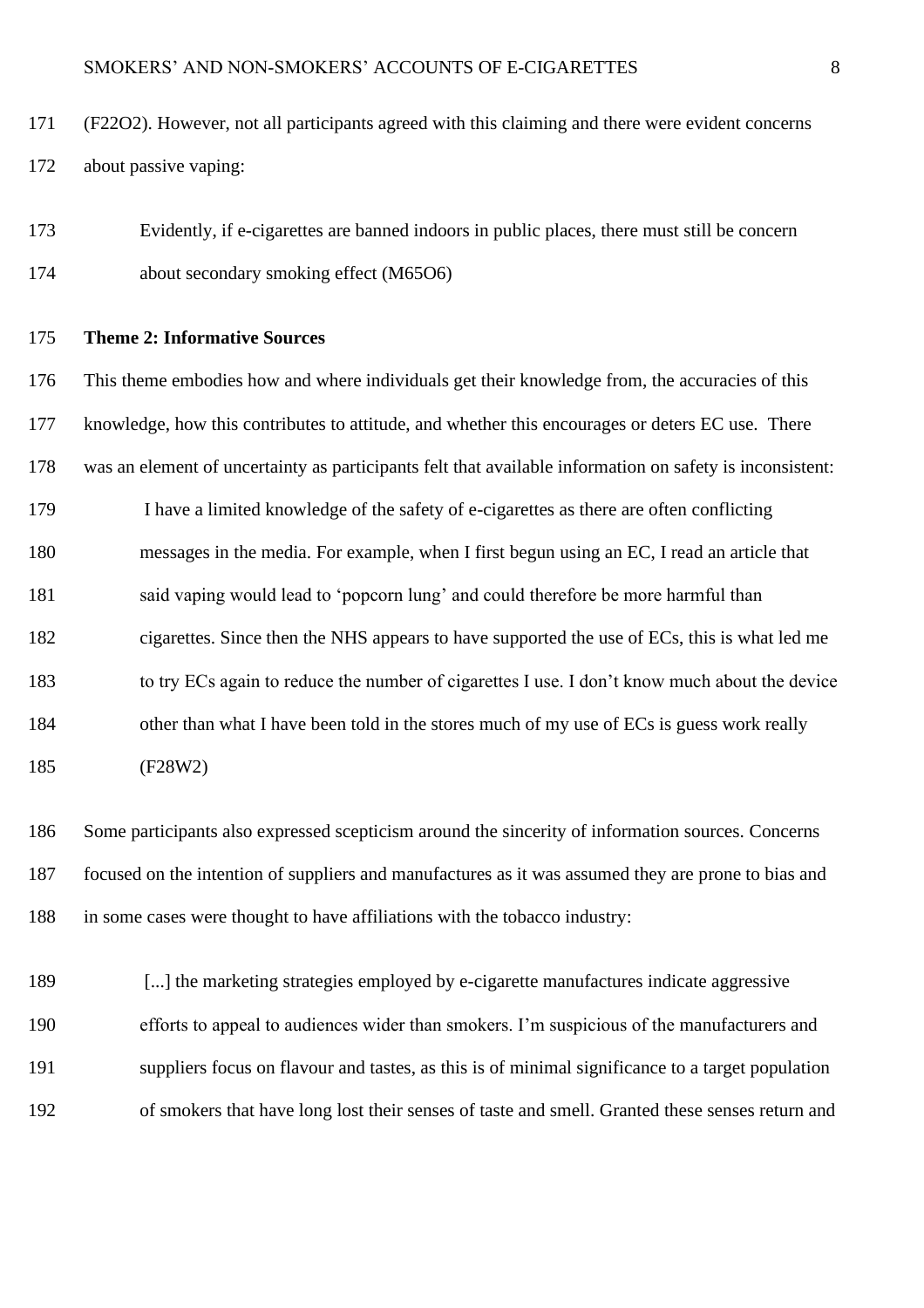- (F22O2). However, not all participants agreed with this claiming and there were evident concerns about passive vaping:
- Evidently, if e-cigarettes are banned indoors in public places, there must still be concern about secondary smoking effect (M65O6)

### **Theme 2: Informative Sources**

 This theme embodies how and where individuals get their knowledge from, the accuracies of this knowledge, how this contributes to attitude, and whether this encourages or deters EC use. There was an element of uncertainty as participants felt that available information on safety is inconsistent: I have a limited knowledge of the safety of e-cigarettes as there are often conflicting messages in the media. For example, when I first begun using an EC, I read an article that 181 said vaping would lead to 'popcorn lung' and could therefore be more harmful than cigarettes. Since then the NHS appears to have supported the use of ECs, this is what led me to try ECs again to reduce the number of cigarettes I use. I don't know much about the device 184 other than what I have been told in the stores much of my use of ECs is guess work really (F28W2)

 Some participants also expressed scepticism around the sincerity of information sources. Concerns focused on the intention of suppliers and manufactures as it was assumed they are prone to bias and in some cases were thought to have affiliations with the tobacco industry:

189 [...] the marketing strategies employed by e-cigarette manufactures indicate aggressive efforts to appeal to audiences wider than smokers. I'm suspicious of the manufacturers and suppliers focus on flavour and tastes, as this is of minimal significance to a target population of smokers that have long lost their senses of taste and smell. Granted these senses return and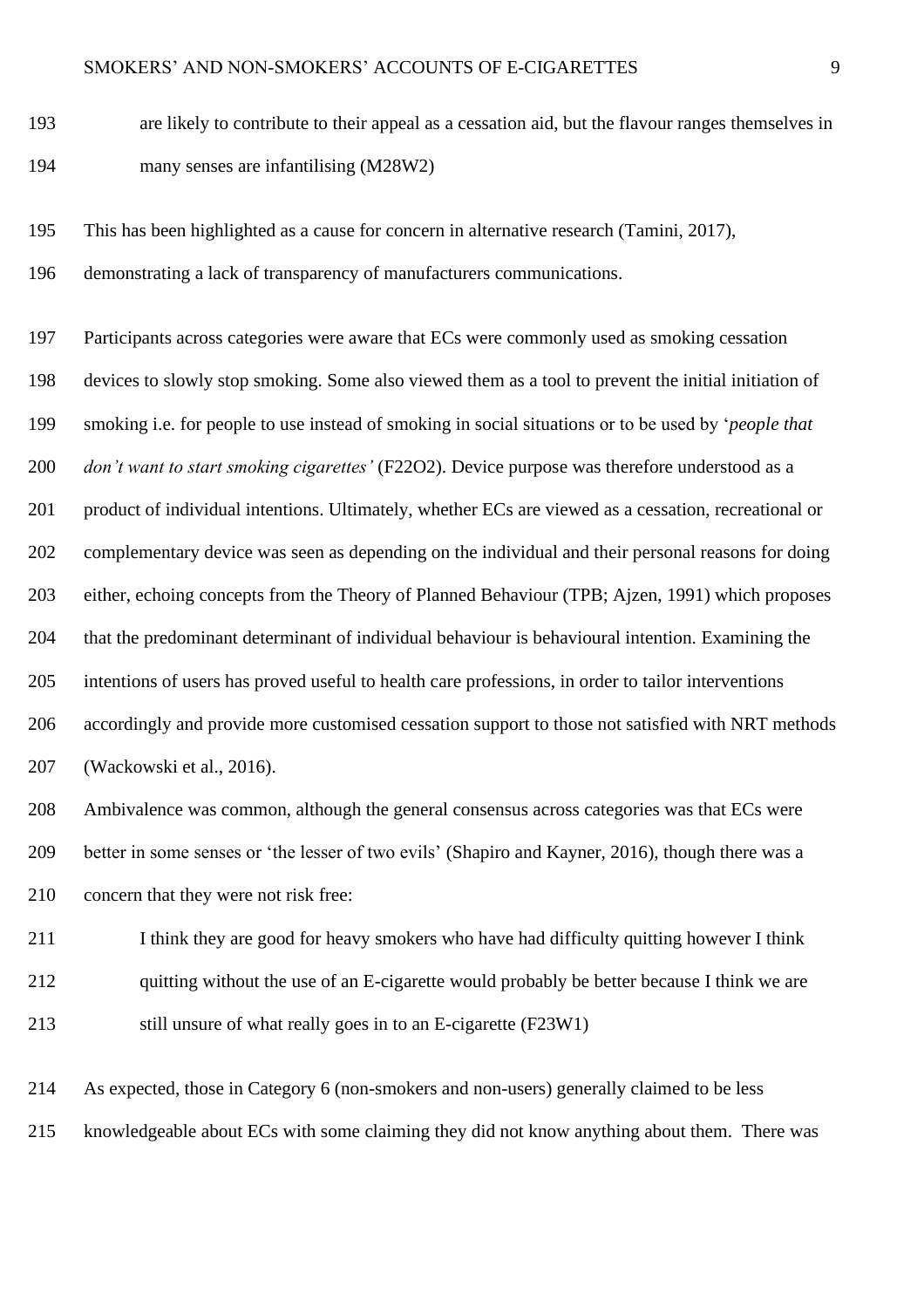- are likely to contribute to their appeal as a cessation aid, but the flavour ranges themselves in many senses are infantilising (M28W2)
- This has been highlighted as a cause for concern in alternative research (Tamini, 2017),
- demonstrating a lack of transparency of manufacturers communications.

 Participants across categories were aware that ECs were commonly used as smoking cessation devices to slowly stop smoking. Some also viewed them as a tool to prevent the initial initiation of smoking i.e. for people to use instead of smoking in social situations or to be used by '*people that don't want to start smoking cigarettes'* (F22O2). Device purpose was therefore understood as a product of individual intentions. Ultimately, whether ECs are viewed as a cessation, recreational or complementary device was seen as depending on the individual and their personal reasons for doing either, echoing concepts from the Theory of Planned Behaviour (TPB; Ajzen, 1991) which proposes that the predominant determinant of individual behaviour is behavioural intention. Examining the intentions of users has proved useful to health care professions, in order to tailor interventions accordingly and provide more customised cessation support to those not satisfied with NRT methods (Wackowski et al., 2016).

- Ambivalence was common, although the general consensus across categories was that ECs were better in some senses or 'the lesser of two evils' (Shapiro and Kayner, 2016), though there was a 210 concern that they were not risk free:
- 211 I think they are good for heavy smokers who have had difficulty quitting however I think quitting without the use of an E-cigarette would probably be better because I think we are 213 still unsure of what really goes in to an E-cigarette (F23W1)

As expected, those in Category 6 (non-smokers and non-users) generally claimed to be less

knowledgeable about ECs with some claiming they did not know anything about them. There was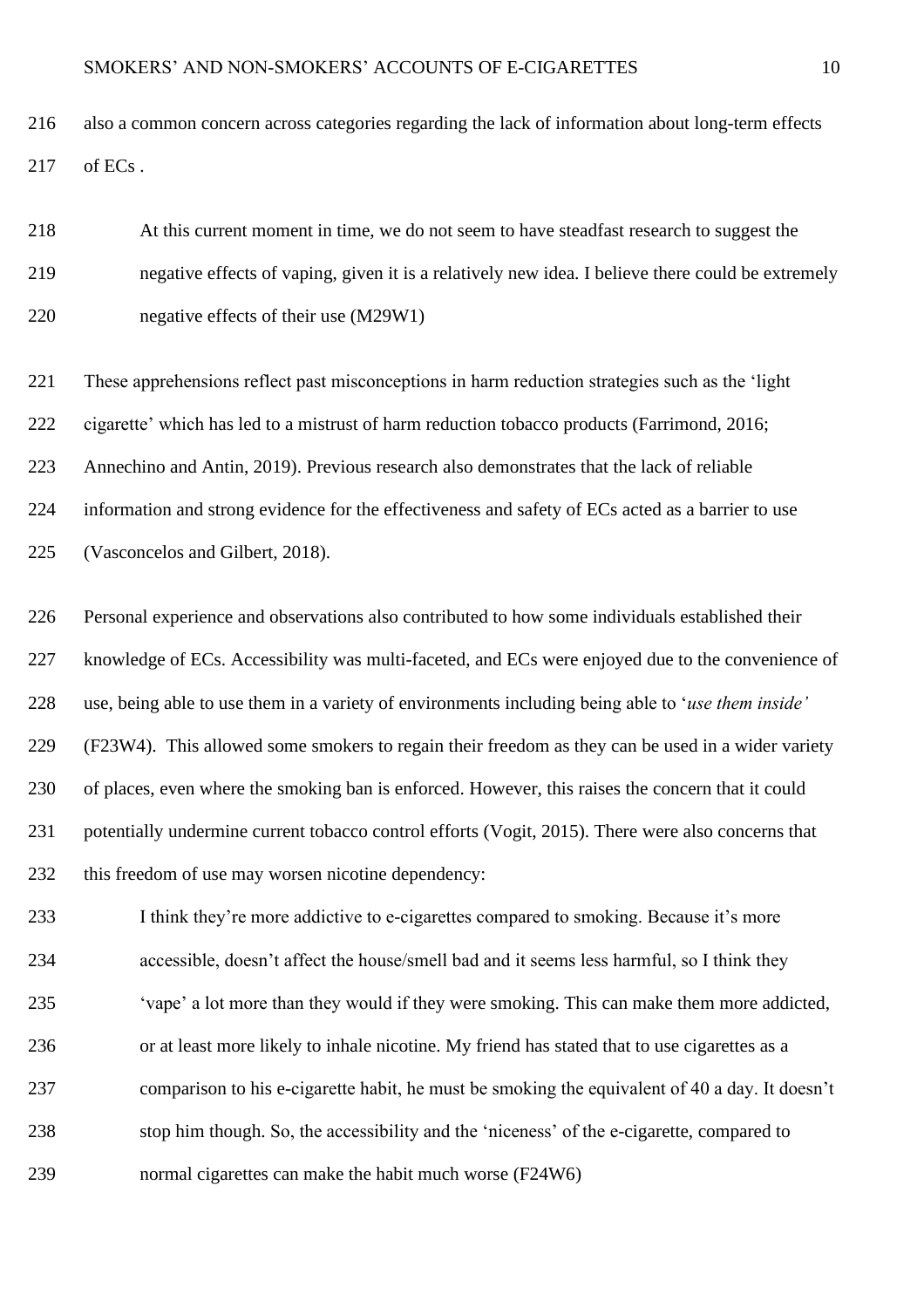also a common concern across categories regarding the lack of information about long-term effects of ECs .

 At this current moment in time, we do not seem to have steadfast research to suggest the negative effects of vaping, given it is a relatively new idea. I believe there could be extremely negative effects of their use (M29W1)

 These apprehensions reflect past misconceptions in harm reduction strategies such as the 'light cigarette' which has led to a mistrust of harm reduction tobacco products (Farrimond, 2016; Annechino and Antin, 2019). Previous research also demonstrates that the lack of reliable information and strong evidence for the effectiveness and safety of ECs acted as a barrier to use (Vasconcelos and Gilbert, 2018).

 Personal experience and observations also contributed to how some individuals established their knowledge of ECs. Accessibility was multi-faceted, and ECs were enjoyed due to the convenience of use, being able to use them in a variety of environments including being able to '*use them inside'*  (F23W4). This allowed some smokers to regain their freedom as they can be used in a wider variety of places, even where the smoking ban is enforced. However, this raises the concern that it could potentially undermine current tobacco control efforts (Vogit, 2015). There were also concerns that this freedom of use may worsen nicotine dependency:

233 I think they're more addictive to e-cigarettes compared to smoking. Because it's more accessible, doesn't affect the house/smell bad and it seems less harmful, so I think they 'vape' a lot more than they would if they were smoking. This can make them more addicted, or at least more likely to inhale nicotine. My friend has stated that to use cigarettes as a comparison to his e-cigarette habit, he must be smoking the equivalent of 40 a day. It doesn't stop him though. So, the accessibility and the 'niceness' of the e-cigarette, compared to normal cigarettes can make the habit much worse (F24W6)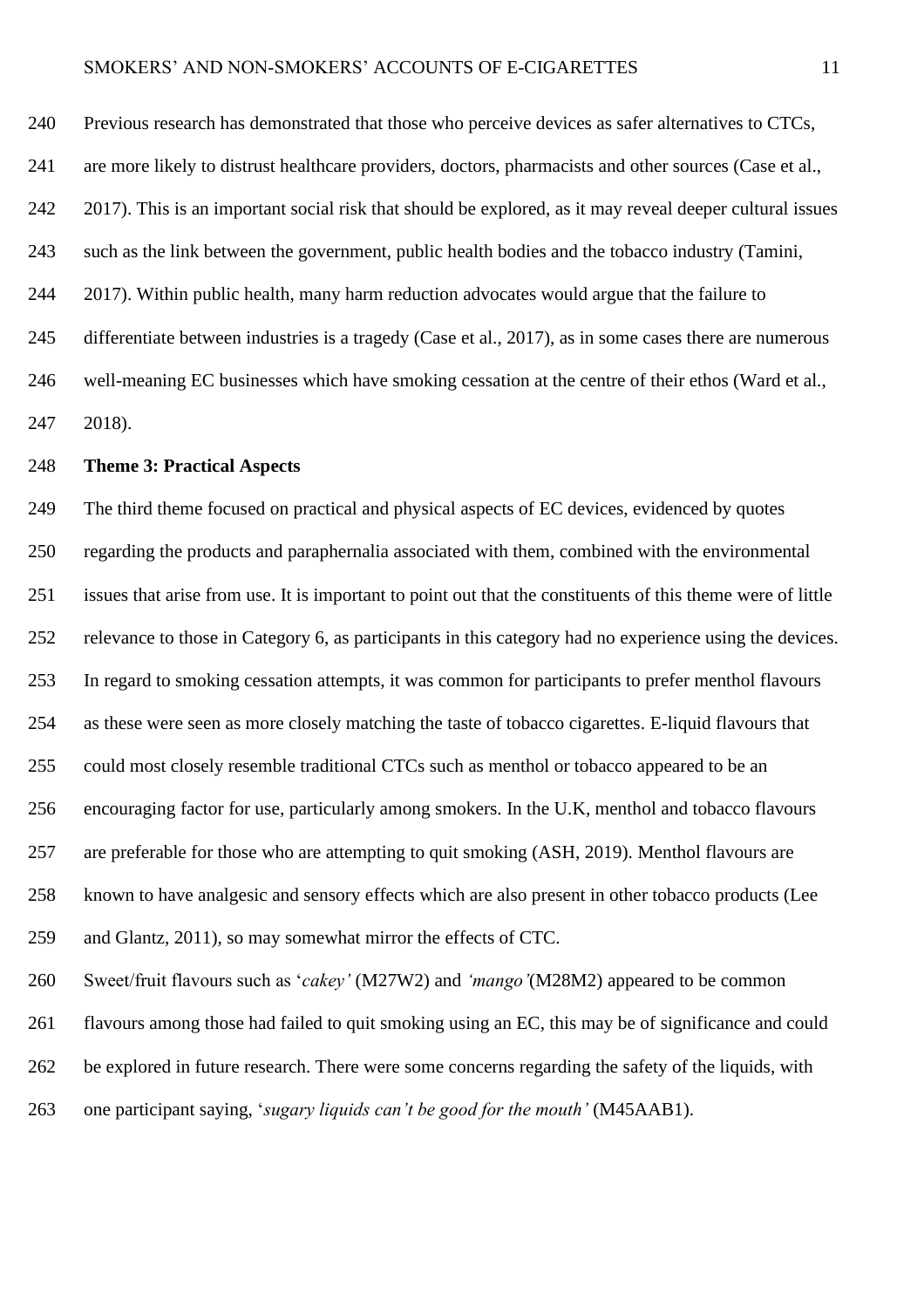Previous research has demonstrated that those who perceive devices as safer alternatives to CTCs, are more likely to distrust healthcare providers, doctors, pharmacists and other sources (Case et al., 2017). This is an important social risk that should be explored, as it may reveal deeper cultural issues such as the link between the government, public health bodies and the tobacco industry (Tamini, 2017). Within public health, many harm reduction advocates would argue that the failure to differentiate between industries is a tragedy (Case et al., 2017), as in some cases there are numerous well-meaning EC businesses which have smoking cessation at the centre of their ethos (Ward et al., 2018).

### **Theme 3: Practical Aspects**

 The third theme focused on practical and physical aspects of EC devices, evidenced by quotes regarding the products and paraphernalia associated with them, combined with the environmental issues that arise from use. It is important to point out that the constituents of this theme were of little relevance to those in Category 6, as participants in this category had no experience using the devices. In regard to smoking cessation attempts, it was common for participants to prefer menthol flavours as these were seen as more closely matching the taste of tobacco cigarettes. E-liquid flavours that could most closely resemble traditional CTCs such as menthol or tobacco appeared to be an encouraging factor for use, particularly among smokers. In the U.K, menthol and tobacco flavours are preferable for those who are attempting to quit smoking (ASH, 2019). Menthol flavours are known to have analgesic and sensory effects which are also present in other tobacco products (Lee and Glantz, 2011), so may somewhat mirror the effects of CTC.

 Sweet/fruit flavours such as '*cakey'* (M27W2) and *'mango'*(M28M2) appeared to be common flavours among those had failed to quit smoking using an EC, this may be of significance and could be explored in future research. There were some concerns regarding the safety of the liquids, with one participant saying, '*sugary liquids can't be good for the mouth'* (M45AAB1).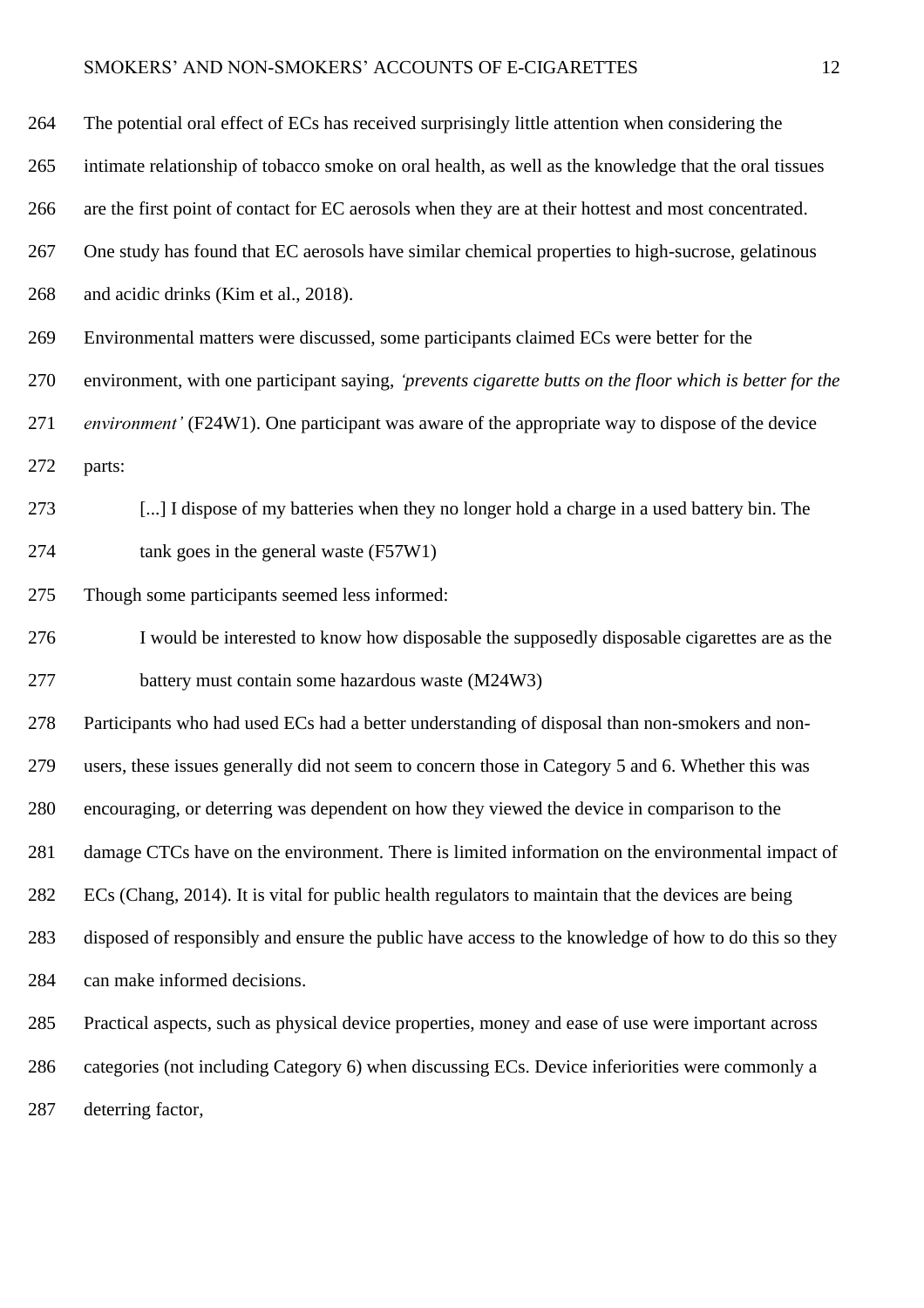# SMOKERS' AND NON-SMOKERS' ACCOUNTS OF E-CIGARETTES 12

| 264 | The potential oral effect of ECs has received surprisingly little attention when considering the         |
|-----|----------------------------------------------------------------------------------------------------------|
| 265 | intimate relationship of tobacco smoke on oral health, as well as the knowledge that the oral tissues    |
| 266 | are the first point of contact for EC aerosols when they are at their hottest and most concentrated.     |
| 267 | One study has found that EC aerosols have similar chemical properties to high-sucrose, gelatinous        |
| 268 | and acidic drinks (Kim et al., 2018).                                                                    |
| 269 | Environmental matters were discussed, some participants claimed ECs were better for the                  |
| 270 | environment, with one participant saying, 'prevents cigarette butts on the floor which is better for the |
| 271 | <i>environment'</i> (F24W1). One participant was aware of the appropriate way to dispose of the device   |
| 272 | parts:                                                                                                   |
| 273 | [] I dispose of my batteries when they no longer hold a charge in a used battery bin. The                |
| 274 | tank goes in the general waste (F57W1)                                                                   |
| 275 | Though some participants seemed less informed:                                                           |
| 276 | I would be interested to know how disposable the supposedly disposable cigarettes are as the             |
| 277 | battery must contain some hazardous waste (M24W3)                                                        |
| 278 | Participants who had used ECs had a better understanding of disposal than non-smokers and non-           |
| 279 | users, these issues generally did not seem to concern those in Category 5 and 6. Whether this was        |
| 280 | encouraging, or deterring was dependent on how they viewed the device in comparison to the               |
| 281 | damage CTCs have on the environment. There is limited information on the environmental impact of         |
| 282 | ECs (Chang, 2014). It is vital for public health regulators to maintain that the devices are being       |
| 283 | disposed of responsibly and ensure the public have access to the knowledge of how to do this so they     |
| 284 | can make informed decisions.                                                                             |
| 285 | Practical aspects, such as physical device properties, money and ease of use were important across       |
| 286 | categories (not including Category 6) when discussing ECs. Device inferiorities were commonly a          |
| 287 | deterring factor,                                                                                        |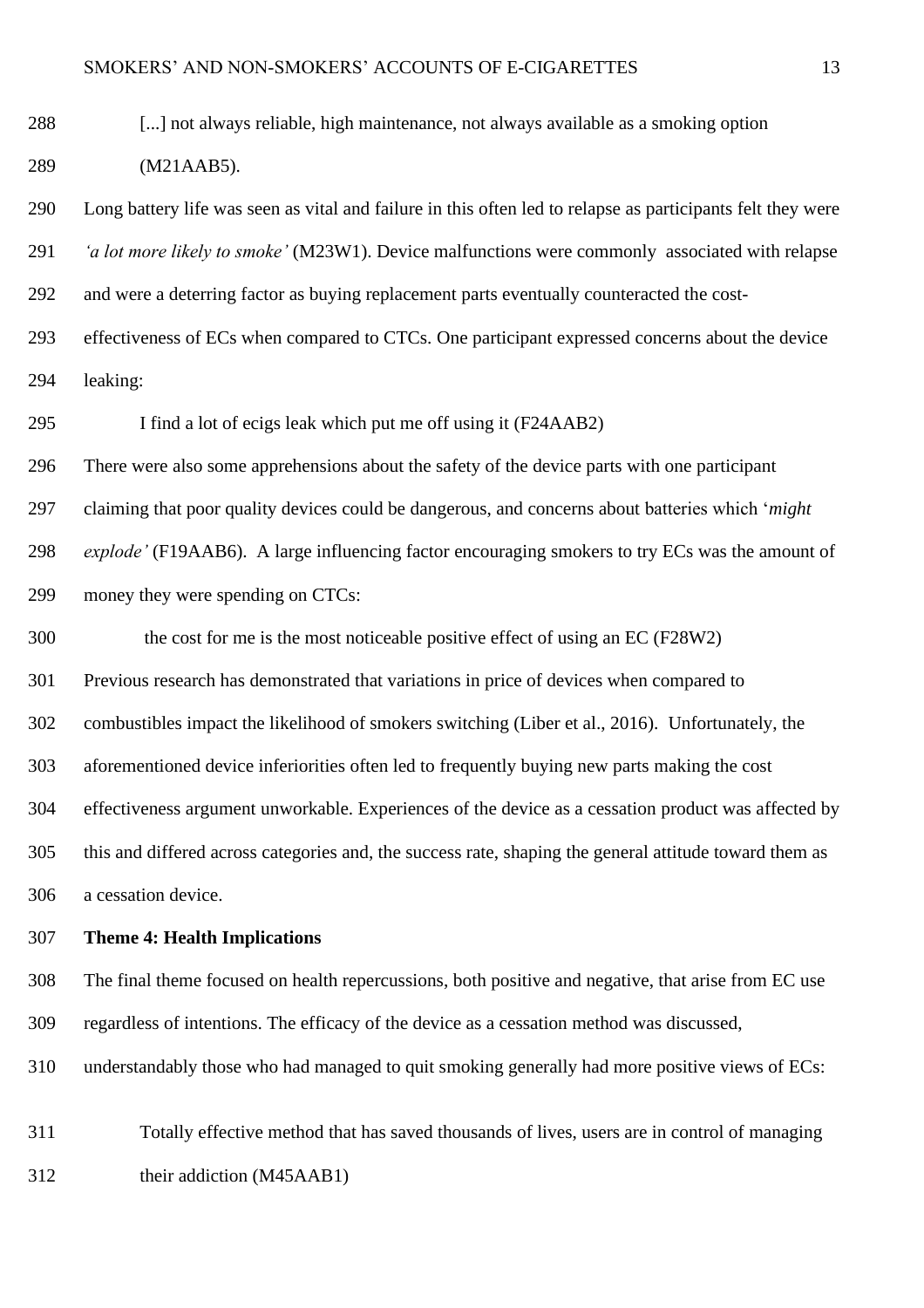[...] not always reliable, high maintenance, not always available as a smoking option (M21AAB5).

 Long battery life was seen as vital and failure in this often led to relapse as participants felt they were *'a lot more likely to smoke'* (M23W1). Device malfunctions were commonly associated with relapse and were a deterring factor as buying replacement parts eventually counteracted the cost-

 effectiveness of ECs when compared to CTCs. One participant expressed concerns about the device leaking:

I find a lot of ecigs leak which put me off using it (F24AAB2)

There were also some apprehensions about the safety of the device parts with one participant

claiming that poor quality devices could be dangerous, and concerns about batteries which '*might* 

*explode'* (F19AAB6). A large influencing factor encouraging smokers to try ECs was the amount of

money they were spending on CTCs:

the cost for me is the most noticeable positive effect of using an EC (F28W2)

Previous research has demonstrated that variations in price of devices when compared to

combustibles impact the likelihood of smokers switching (Liber et al., 2016). Unfortunately, the

aforementioned device inferiorities often led to frequently buying new parts making the cost

effectiveness argument unworkable. Experiences of the device as a cessation product was affected by

 this and differed across categories and, the success rate, shaping the general attitude toward them as a cessation device.

#### **Theme 4: Health Implications**

 The final theme focused on health repercussions, both positive and negative, that arise from EC use regardless of intentions. The efficacy of the device as a cessation method was discussed,

understandably those who had managed to quit smoking generally had more positive views of ECs:

 Totally effective method that has saved thousands of lives, users are in control of managing their addiction (M45AAB1)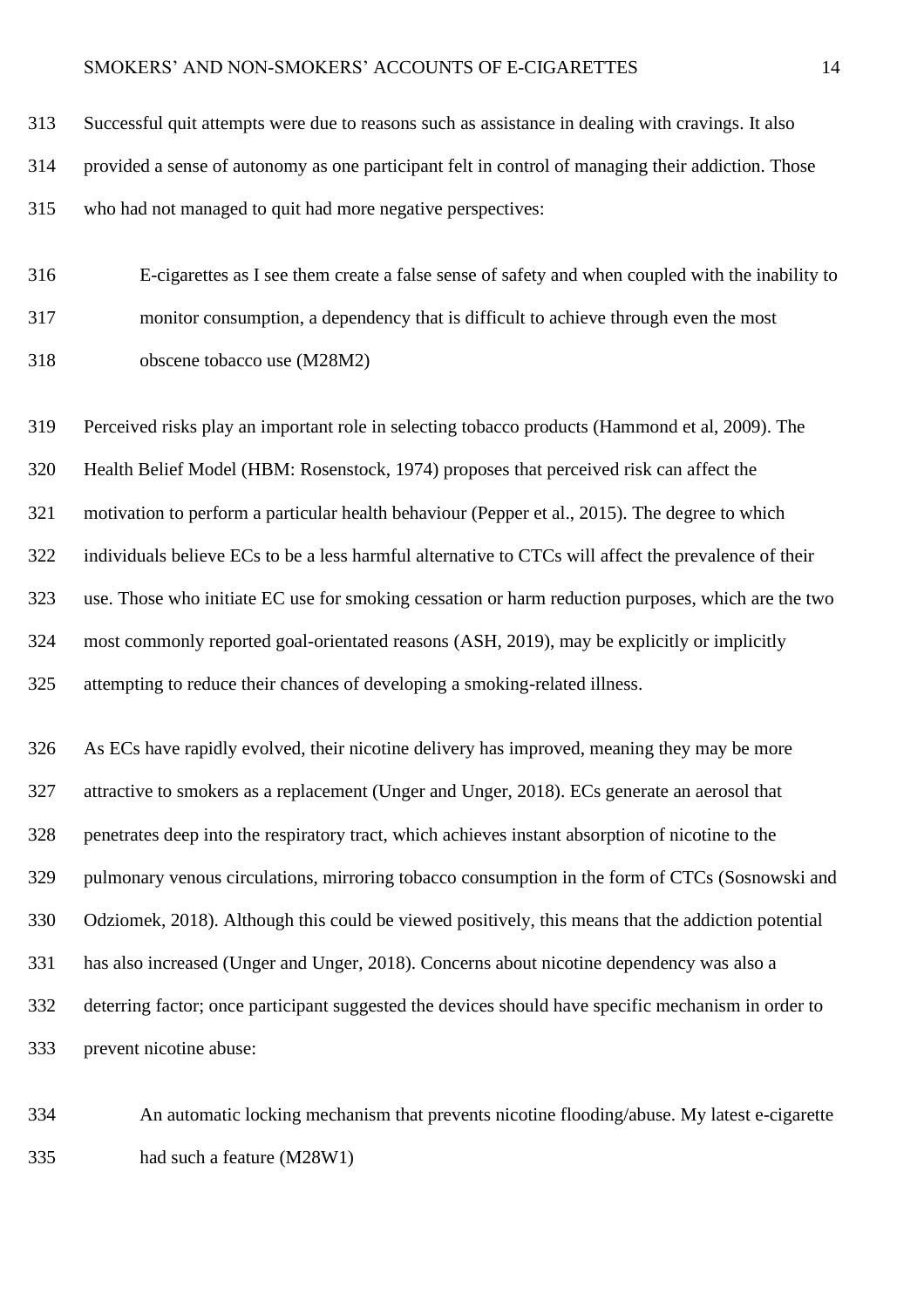| 313 | Successful quit attempts were due to reasons such as assistance in dealing with cravings. It also  |
|-----|----------------------------------------------------------------------------------------------------|
| 314 | provided a sense of autonomy as one participant felt in control of managing their addiction. Those |
| 315 | who had not managed to quit had more negative perspectives:                                        |

 E-cigarettes as I see them create a false sense of safety and when coupled with the inability to monitor consumption, a dependency that is difficult to achieve through even the most obscene tobacco use (M28M2)

 Perceived risks play an important role in selecting tobacco products (Hammond et al, 2009). The Health Belief Model (HBM: Rosenstock, 1974) proposes that perceived risk can affect the motivation to perform a particular health behaviour (Pepper et al., 2015). The degree to which individuals believe ECs to be a less harmful alternative to CTCs will affect the prevalence of their use. Those who initiate EC use for smoking cessation or harm reduction purposes, which are the two most commonly reported goal-orientated reasons (ASH, 2019), may be explicitly or implicitly attempting to reduce their chances of developing a smoking-related illness.

 As ECs have rapidly evolved, their nicotine delivery has improved, meaning they may be more attractive to smokers as a replacement (Unger and Unger, 2018). ECs generate an aerosol that penetrates deep into the respiratory tract, which achieves instant absorption of nicotine to the pulmonary venous circulations, mirroring tobacco consumption in the form of CTCs (Sosnowski and Odziomek, 2018). Although this could be viewed positively, this means that the addiction potential has also increased (Unger and Unger, 2018). Concerns about nicotine dependency was also a deterring factor; once participant suggested the devices should have specific mechanism in order to prevent nicotine abuse:

 An automatic locking mechanism that prevents nicotine flooding/abuse. My latest e-cigarette had such a feature (M28W1)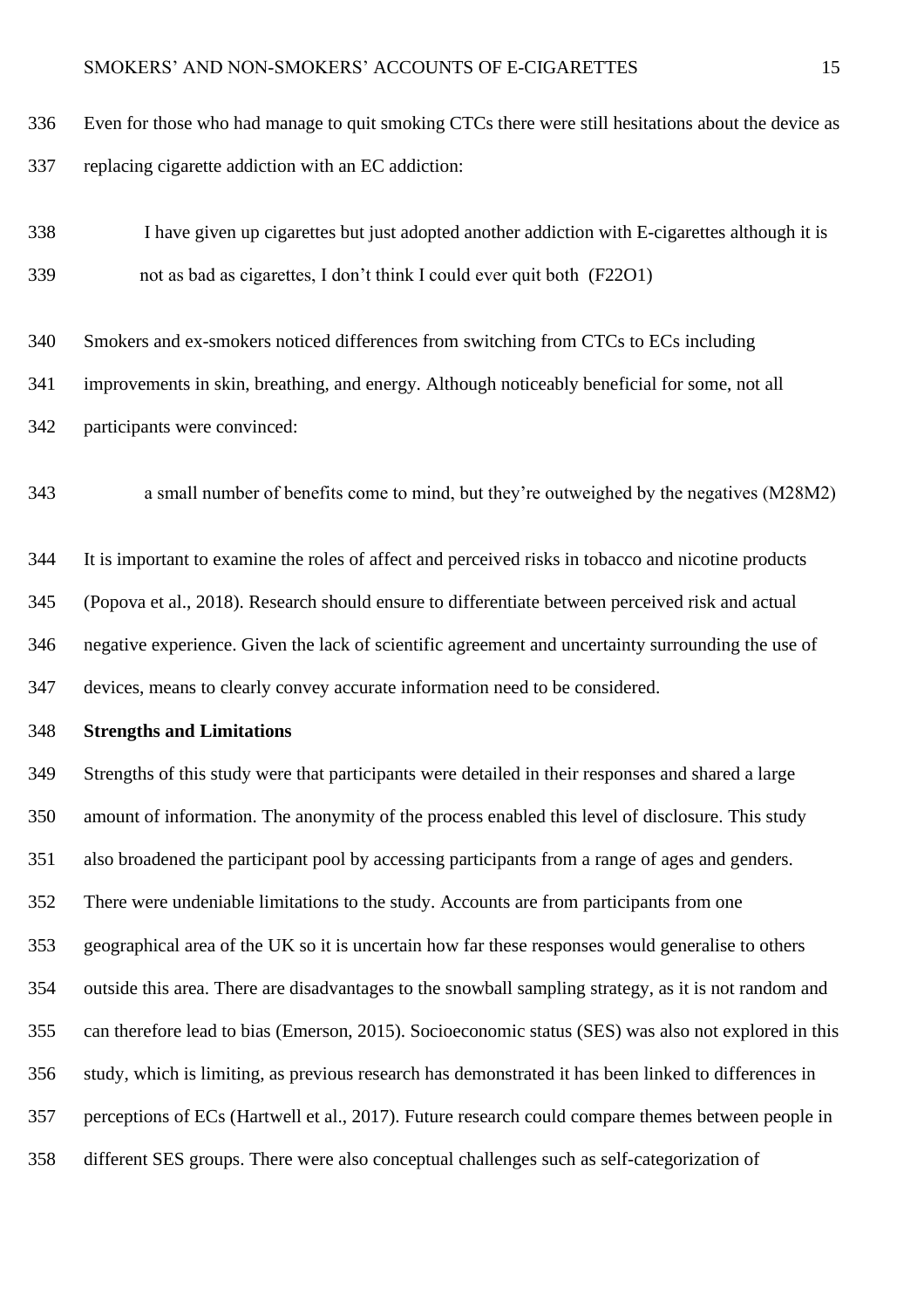- Even for those who had manage to quit smoking CTCs there were still hesitations about the device as replacing cigarette addiction with an EC addiction:
- I have given up cigarettes but just adopted another addiction with E-cigarettes although it is not as bad as cigarettes, I don't think I could ever quit both (F22O1)
- Smokers and ex-smokers noticed differences from switching from CTCs to ECs including
- improvements in skin, breathing, and energy. Although noticeably beneficial for some, not all
- participants were convinced:

a small number of benefits come to mind, but they're outweighed by the negatives (M28M2)

 It is important to examine the roles of affect and perceived risks in tobacco and nicotine products (Popova et al., 2018). Research should ensure to differentiate between perceived risk and actual negative experience. Given the lack of scientific agreement and uncertainty surrounding the use of devices, means to clearly convey accurate information need to be considered.

**Strengths and Limitations**

 Strengths of this study were that participants were detailed in their responses and shared a large amount of information. The anonymity of the process enabled this level of disclosure. This study also broadened the participant pool by accessing participants from a range of ages and genders. There were undeniable limitations to the study. Accounts are from participants from one geographical area of the UK so it is uncertain how far these responses would generalise to others outside this area. There are disadvantages to the snowball sampling strategy, as it is not random and can therefore lead to bias (Emerson, 2015). Socioeconomic status (SES) was also not explored in this study, which is limiting, as previous research has demonstrated it has been linked to differences in perceptions of ECs (Hartwell et al., 2017). Future research could compare themes between people in different SES groups. There were also conceptual challenges such as self-categorization of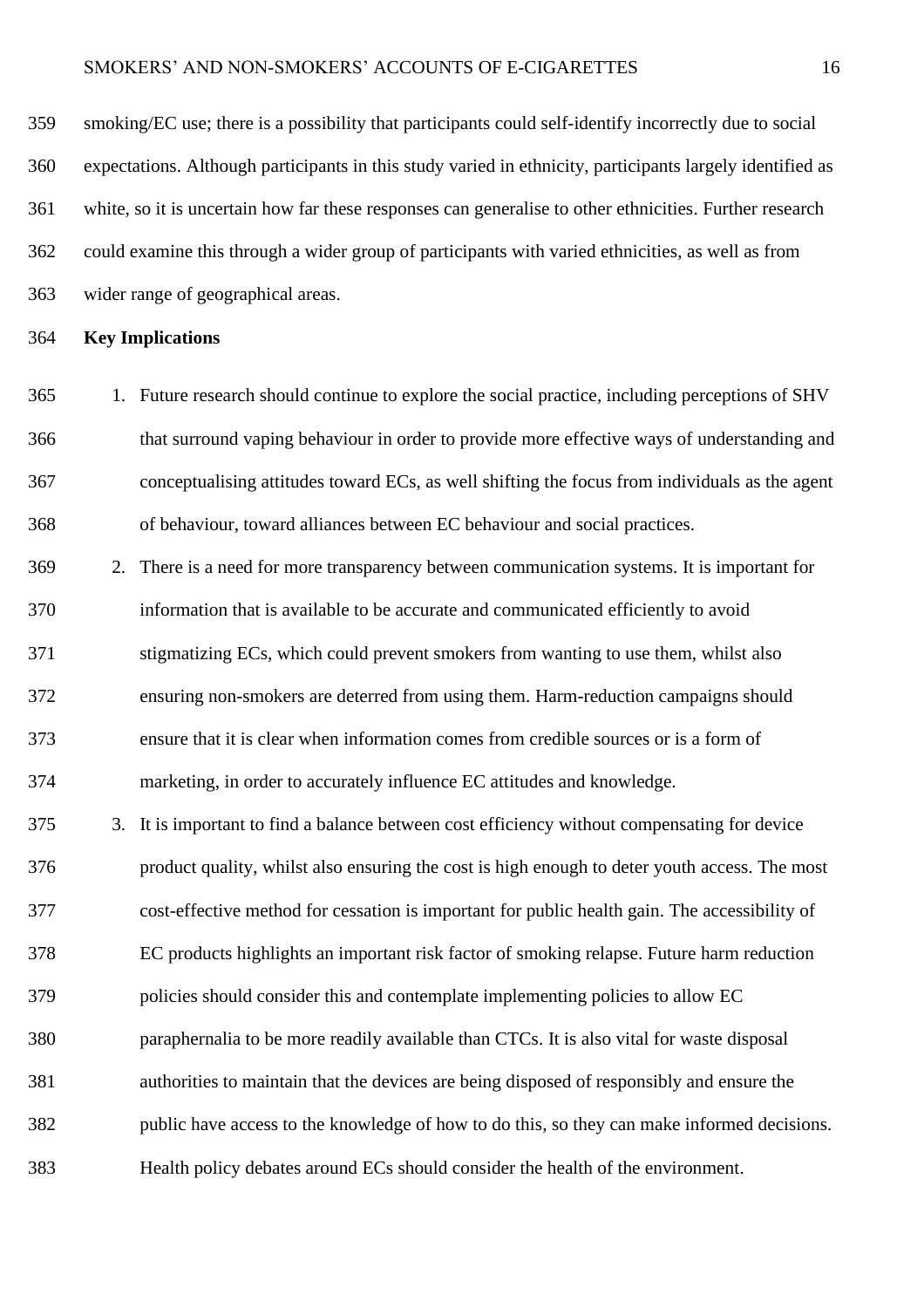smoking/EC use; there is a possibility that participants could self-identify incorrectly due to social expectations. Although participants in this study varied in ethnicity, participants largely identified as white, so it is uncertain how far these responses can generalise to other ethnicities. Further research could examine this through a wider group of participants with varied ethnicities, as well as from wider range of geographical areas.

### **Key Implications**

- 1. Future research should continue to explore the social practice, including perceptions of SHV that surround vaping behaviour in order to provide more effective ways of understanding and conceptualising attitudes toward ECs, as well shifting the focus from individuals as the agent of behaviour, toward alliances between EC behaviour and social practices.
- 2. There is a need for more transparency between communication systems. It is important for information that is available to be accurate and communicated efficiently to avoid 371 stigmatizing ECs, which could prevent smokers from wanting to use them, whilst also ensuring non-smokers are deterred from using them. Harm-reduction campaigns should ensure that it is clear when information comes from credible sources or is a form of marketing, in order to accurately influence EC attitudes and knowledge.
- 3. It is important to find a balance between cost efficiency without compensating for device product quality, whilst also ensuring the cost is high enough to deter youth access. The most cost-effective method for cessation is important for public health gain. The accessibility of EC products highlights an important risk factor of smoking relapse. Future harm reduction policies should consider this and contemplate implementing policies to allow EC paraphernalia to be more readily available than CTCs. It is also vital for waste disposal authorities to maintain that the devices are being disposed of responsibly and ensure the public have access to the knowledge of how to do this, so they can make informed decisions. Health policy debates around ECs should consider the health of the environment.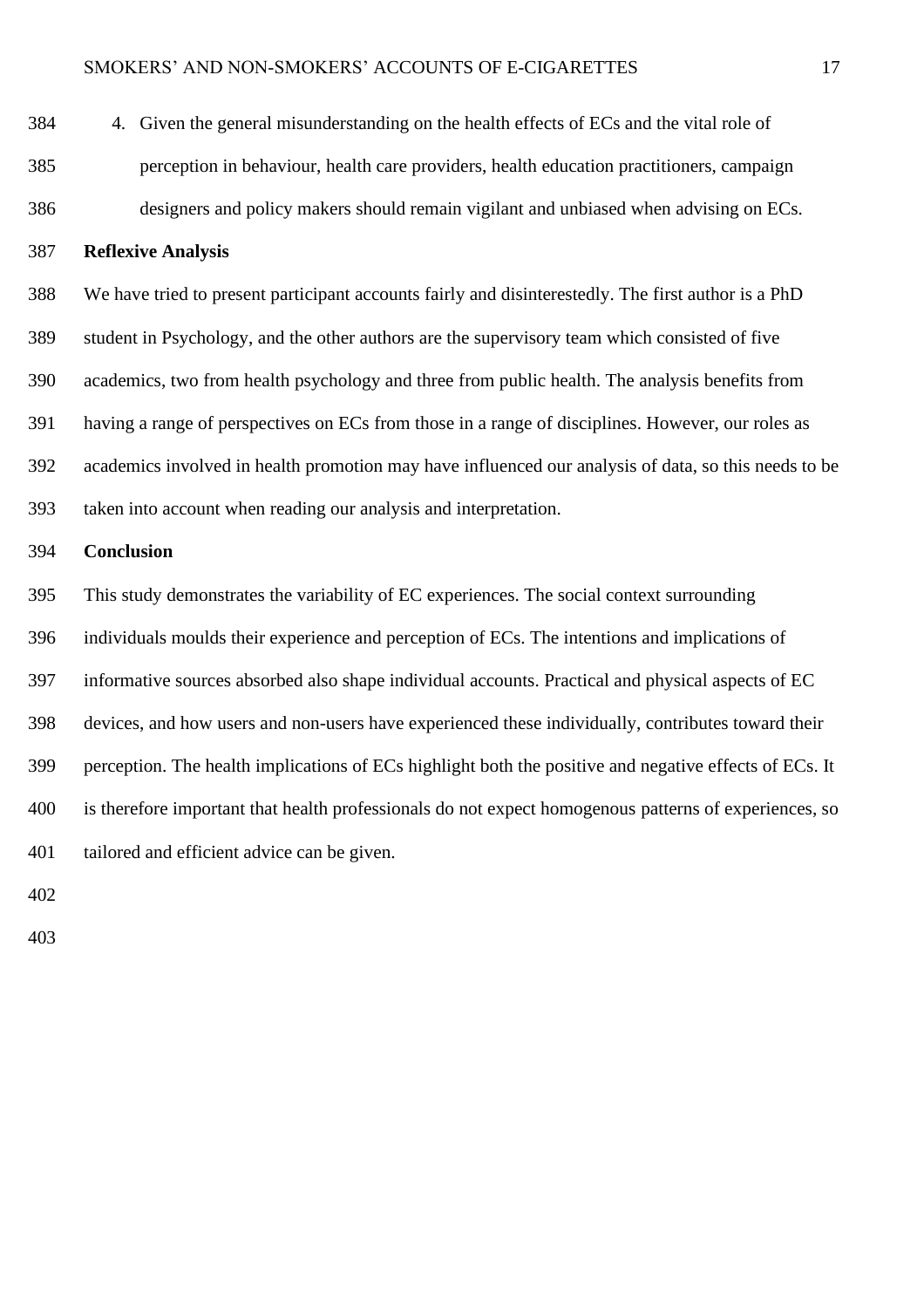| 384 | 4. Given the general misunderstanding on the health effects of ECs and the vital role of               |
|-----|--------------------------------------------------------------------------------------------------------|
| 385 | perception in behaviour, health care providers, health education practitioners, campaign               |
| 386 | designers and policy makers should remain vigilant and unbiased when advising on ECs.                  |
| 387 | <b>Reflexive Analysis</b>                                                                              |
| 388 | We have tried to present participant accounts fairly and disinterestedly. The first author is a PhD    |
| 389 | student in Psychology, and the other authors are the supervisory team which consisted of five          |
| 390 | academics, two from health psychology and three from public health. The analysis benefits from         |
| 391 | having a range of perspectives on ECs from those in a range of disciplines. However, our roles as      |
| 392 | academics involved in health promotion may have influenced our analysis of data, so this needs to be   |
| 393 | taken into account when reading our analysis and interpretation.                                       |
| 394 | Conclusion                                                                                             |
| 395 | This study demonstrates the variability of EC experiences. The social context surrounding              |
| 396 | individuals moulds their experience and perception of ECs. The intentions and implications of          |
| 397 | informative sources absorbed also shape individual accounts. Practical and physical aspects of EC      |
| 398 | devices, and how users and non-users have experienced these individually, contributes toward their     |
| 399 | perception. The health implications of ECs highlight both the positive and negative effects of ECs. It |
| 400 | is therefore important that health professionals do not expect homogenous patterns of experiences, so  |
| 401 | tailored and efficient advice can be given.                                                            |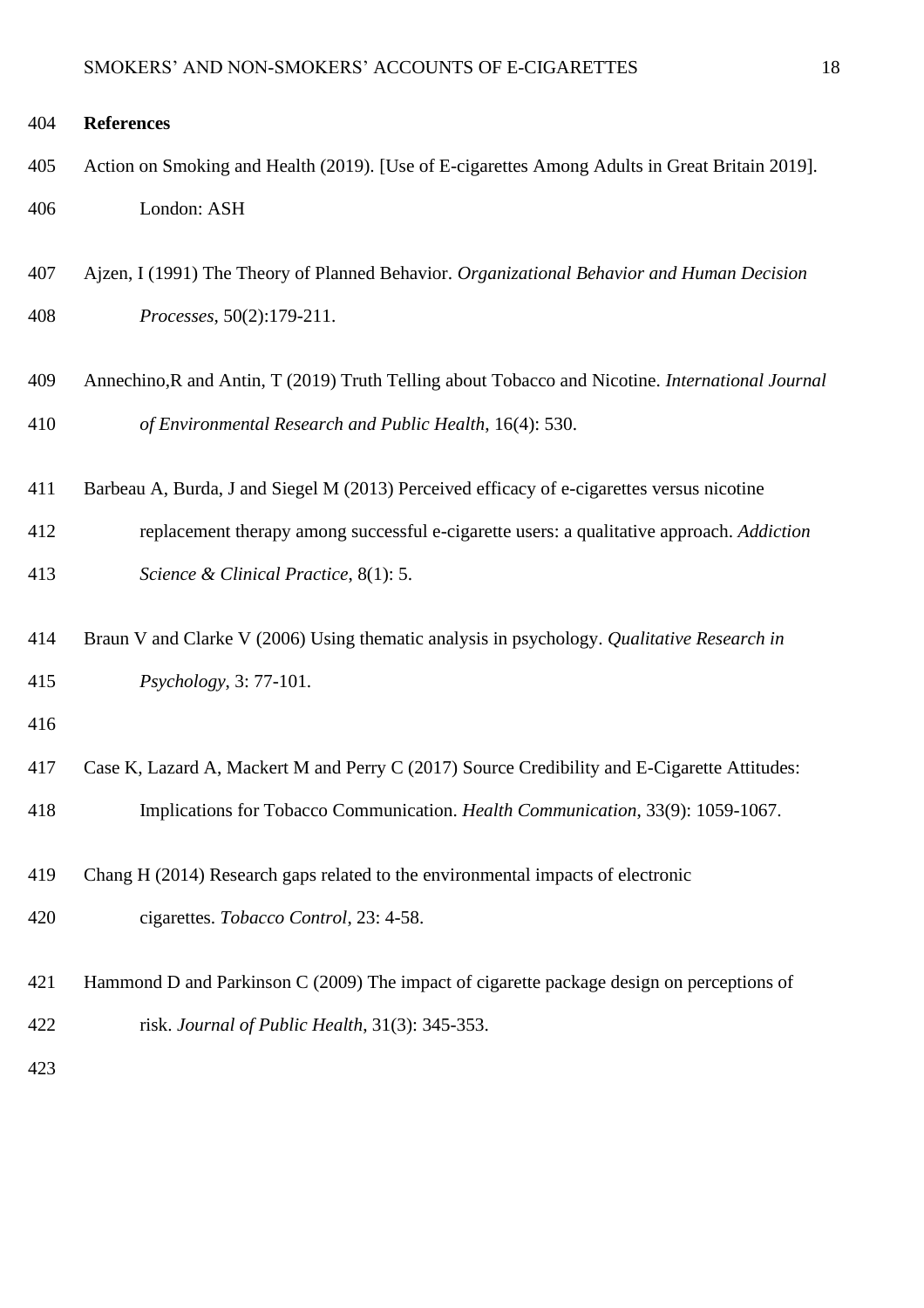### **References**

- Action on Smoking and Health (2019). [Use of E-cigarettes Among Adults in Great Britain 2019]. London: ASH
- Ajzen, I (1991) The Theory of Planned Behavior. *Organizational Behavior and Human Decision Processes*, 50(2):179-211.
- Annechino,R and Antin, T (2019) Truth Telling about Tobacco and Nicotine. *International Journal of Environmental Research and Public Health*, 16(4): 530.
- Barbeau A, Burda, J and Siegel M (2013) Perceived efficacy of e-cigarettes versus nicotine
- replacement therapy among successful e-cigarette users: a qualitative approach. *Addiction Science & Clinical Practice*, 8(1): 5.
- Braun V and Clarke V (2006) Using thematic analysis in psychology. *Qualitative Research in Psychology*, 3: 77-101.
- 
- Case K, Lazard A, Mackert M and Perry C (2017) Source Credibility and E-Cigarette Attitudes: Implications for Tobacco Communication. *Health Communication*, 33(9): 1059-1067.
- Chang H (2014) Research gaps related to the environmental impacts of electronic
- cigarettes. *Tobacco Control*, 23: 4-58.
- Hammond D and Parkinson C (2009) The impact of cigarette package design on perceptions of risk. *Journal of Public Health*, 31(3): 345-353.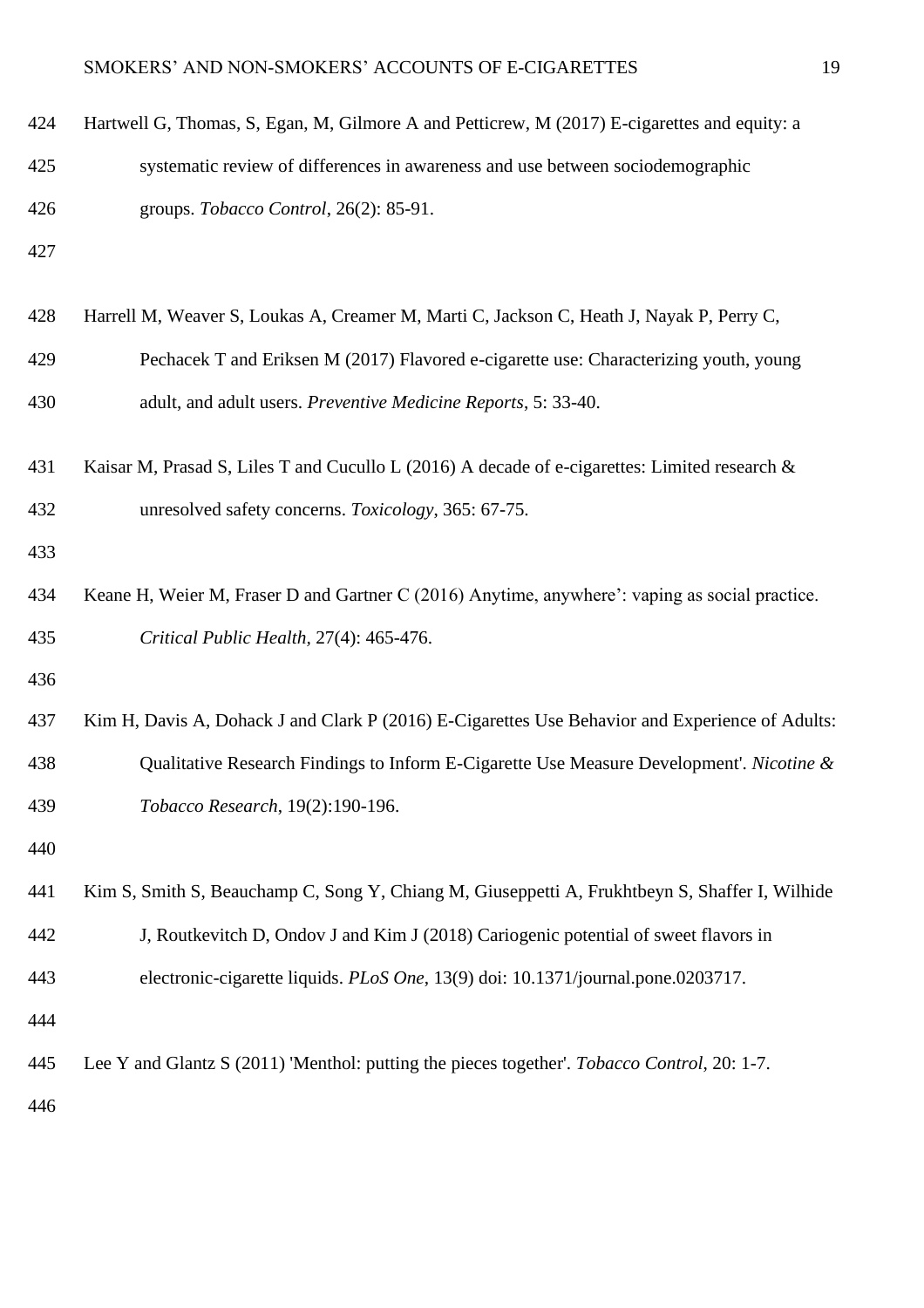| 424 | Hartwell G, Thomas, S, Egan, M, Gilmore A and Petticrew, M (2017) E-cigarettes and equity: a    |
|-----|-------------------------------------------------------------------------------------------------|
| 425 | systematic review of differences in awareness and use between sociodemographic                  |
| 426 | groups. Tobacco Control, 26(2): 85-91.                                                          |
| 427 |                                                                                                 |
| 428 | Harrell M, Weaver S, Loukas A, Creamer M, Marti C, Jackson C, Heath J, Nayak P, Perry C,        |
| 429 | Pechacek T and Eriksen M (2017) Flavored e-cigarette use: Characterizing youth, young           |
| 430 | adult, and adult users. Preventive Medicine Reports, 5: 33-40.                                  |
| 431 | Kaisar M, Prasad S, Liles T and Cucullo L (2016) A decade of e-cigarettes: Limited research &   |
| 432 | unresolved safety concerns. Toxicology, 365: 67-75.                                             |
| 433 |                                                                                                 |
| 434 | Keane H, Weier M, Fraser D and Gartner C (2016) Anytime, anywhere': vaping as social practice.  |
| 435 | Critical Public Health, 27(4): 465-476.                                                         |
| 436 |                                                                                                 |
| 437 | Kim H, Davis A, Dohack J and Clark P (2016) E-Cigarettes Use Behavior and Experience of Adults: |
| 438 | Qualitative Research Findings to Inform E-Cigarette Use Measure Development'. Nicotine &        |
| 439 | Tobacco Research, 19(2):190-196.                                                                |
| 440 |                                                                                                 |
| 441 | Kim S, Smith S, Beauchamp C, Song Y, Chiang M, Giuseppetti A, Frukhtbeyn S, Shaffer I, Wilhide  |
| 442 | J, Routkevitch D, Ondov J and Kim J (2018) Cariogenic potential of sweet flavors in             |
| 443 | electronic-cigarette liquids. PLoS One, 13(9) doi: 10.1371/journal.pone.0203717.                |
| 444 |                                                                                                 |
| 445 | Lee Y and Glantz S (2011) 'Menthol: putting the pieces together'. Tobacco Control, 20: 1-7.     |
| 446 |                                                                                                 |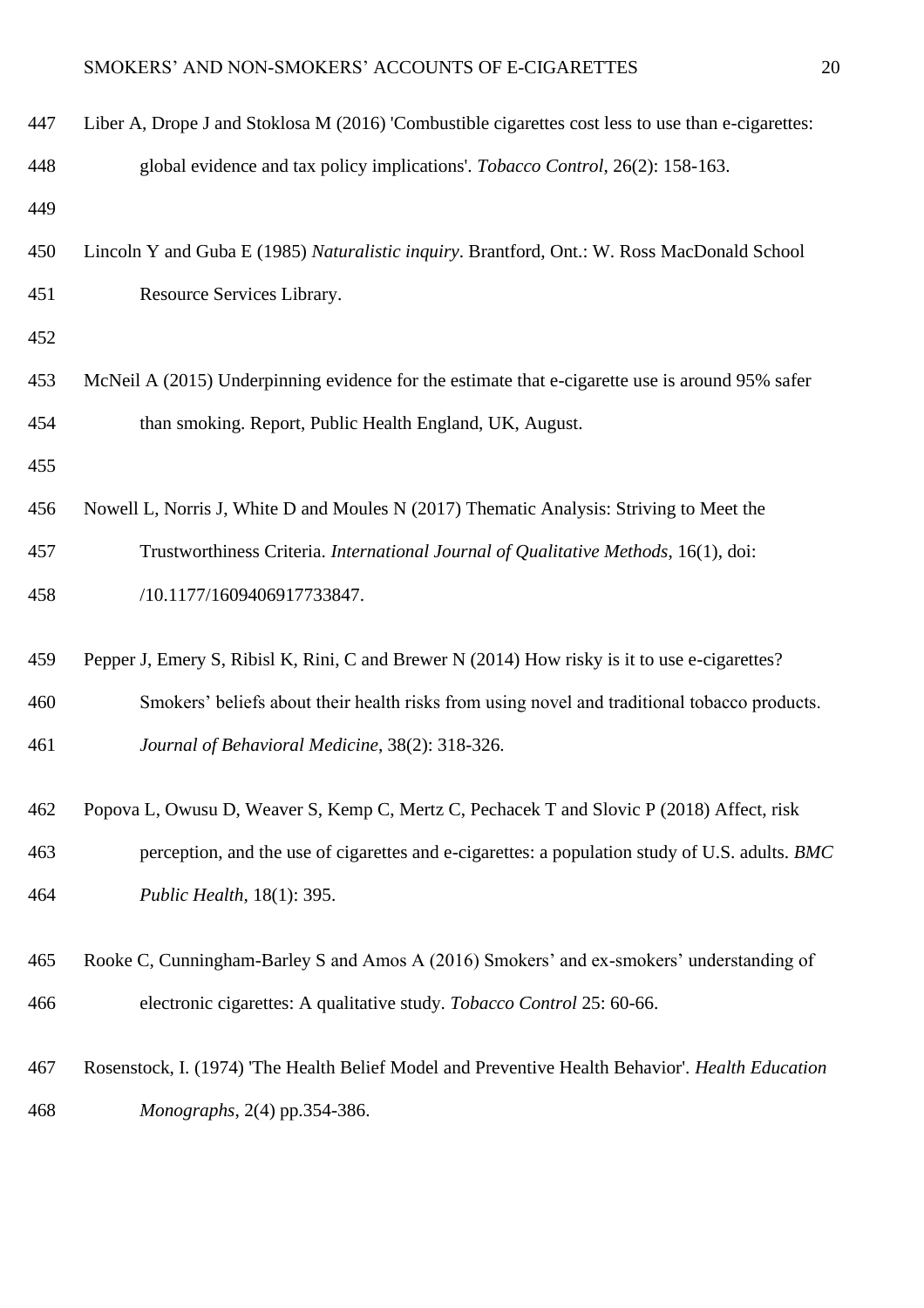| 447 | Liber A, Drope J and Stoklosa M (2016) 'Combustible cigarettes cost less to use than e-cigarettes: |
|-----|----------------------------------------------------------------------------------------------------|
| 448 | global evidence and tax policy implications'. Tobacco Control, 26(2): 158-163.                     |
| 449 |                                                                                                    |
| 450 | Lincoln Y and Guba E (1985) Naturalistic inquiry. Brantford, Ont.: W. Ross MacDonald School        |
| 451 | Resource Services Library.                                                                         |
| 452 |                                                                                                    |
| 453 | McNeil A (2015) Underpinning evidence for the estimate that e-cigarette use is around 95% safer    |
| 454 | than smoking. Report, Public Health England, UK, August.                                           |
| 455 |                                                                                                    |
| 456 | Nowell L, Norris J, White D and Moules N (2017) Thematic Analysis: Striving to Meet the            |
| 457 | Trustworthiness Criteria. International Journal of Qualitative Methods, 16(1), doi:                |
| 458 | /10.1177/1609406917733847.                                                                         |
| 459 | Pepper J, Emery S, Ribisl K, Rini, C and Brewer N (2014) How risky is it to use e-cigarettes?      |
| 460 | Smokers' beliefs about their health risks from using novel and traditional tobacco products.       |
| 461 | Journal of Behavioral Medicine, 38(2): 318-326.                                                    |
| 462 | Popova L, Owusu D, Weaver S, Kemp C, Mertz C, Pechacek T and Slovic P (2018) Affect, risk          |
| 463 | perception, and the use of cigarettes and e-cigarettes: a population study of U.S. adults. BMC     |
| 464 | Public Health, 18(1): 395.                                                                         |
| 465 | Rooke C, Cunningham-Barley S and Amos A (2016) Smokers' and ex-smokers' understanding of           |
| 466 | electronic cigarettes: A qualitative study. Tobacco Control 25: 60-66.                             |
| 467 | Rosenstock, I. (1974) 'The Health Belief Model and Preventive Health Behavior'. Health Education   |
| 468 | Monographs, 2(4) pp.354-386.                                                                       |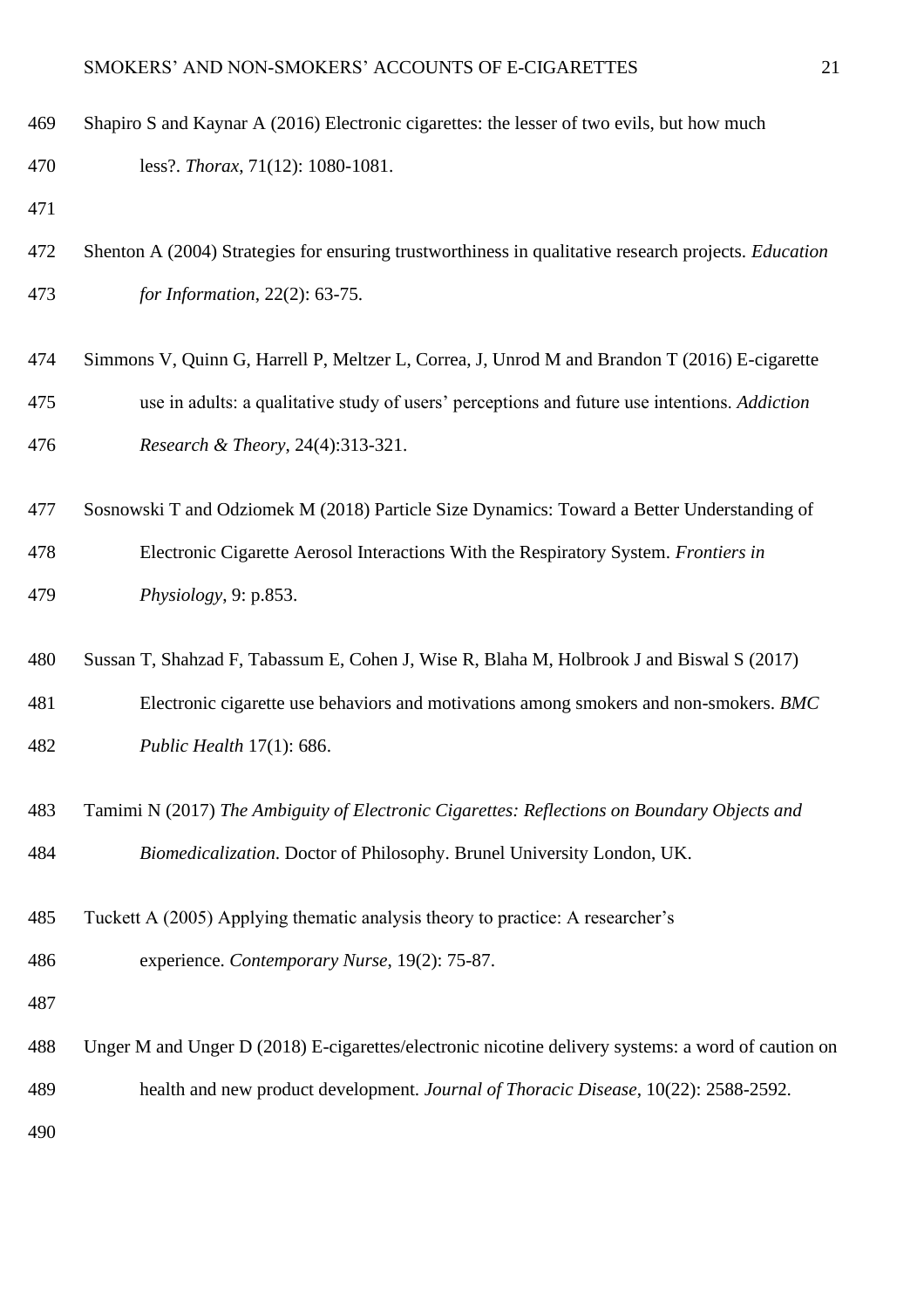| 469 | Shapiro S and Kaynar A (2016) Electronic cigarettes: the lesser of two evils, but how much                  |
|-----|-------------------------------------------------------------------------------------------------------------|
| 470 | less?. Thorax, 71(12): 1080-1081.                                                                           |
| 471 |                                                                                                             |
| 472 | Shenton A (2004) Strategies for ensuring trustworthiness in qualitative research projects. <i>Education</i> |
| 473 | for Information, 22(2): 63-75.                                                                              |
| 474 | Simmons V, Quinn G, Harrell P, Meltzer L, Correa, J, Unrod M and Brandon T (2016) E-cigarette               |
| 475 | use in adults: a qualitative study of users' perceptions and future use intentions. Addiction               |
| 476 | Research & Theory, 24(4):313-321.                                                                           |
| 477 | Sosnowski T and Odziomek M (2018) Particle Size Dynamics: Toward a Better Understanding of                  |
| 478 | Electronic Cigarette Aerosol Interactions With the Respiratory System. Frontiers in                         |
| 479 | Physiology, 9: $p.853$ .                                                                                    |
| 480 | Sussan T, Shahzad F, Tabassum E, Cohen J, Wise R, Blaha M, Holbrook J and Biswal S (2017)                   |
| 481 | Electronic cigarette use behaviors and motivations among smokers and non-smokers. BMC                       |
| 482 | Public Health 17(1): 686.                                                                                   |
| 483 | Tamimi N (2017) The Ambiguity of Electronic Cigarettes: Reflections on Boundary Objects and                 |
| 484 | Biomedicalization. Doctor of Philosophy. Brunel University London, UK.                                      |
| 485 | Tuckett A (2005) Applying thematic analysis theory to practice: A researcher's                              |
| 486 | experience. Contemporary Nurse, 19(2): 75-87.                                                               |
| 487 |                                                                                                             |
| 488 | Unger M and Unger D (2018) E-cigarettes/electronic nicotine delivery systems: a word of caution on          |
| 489 | health and new product development. Journal of Thoracic Disease, 10(22): 2588-2592.                         |
| 490 |                                                                                                             |